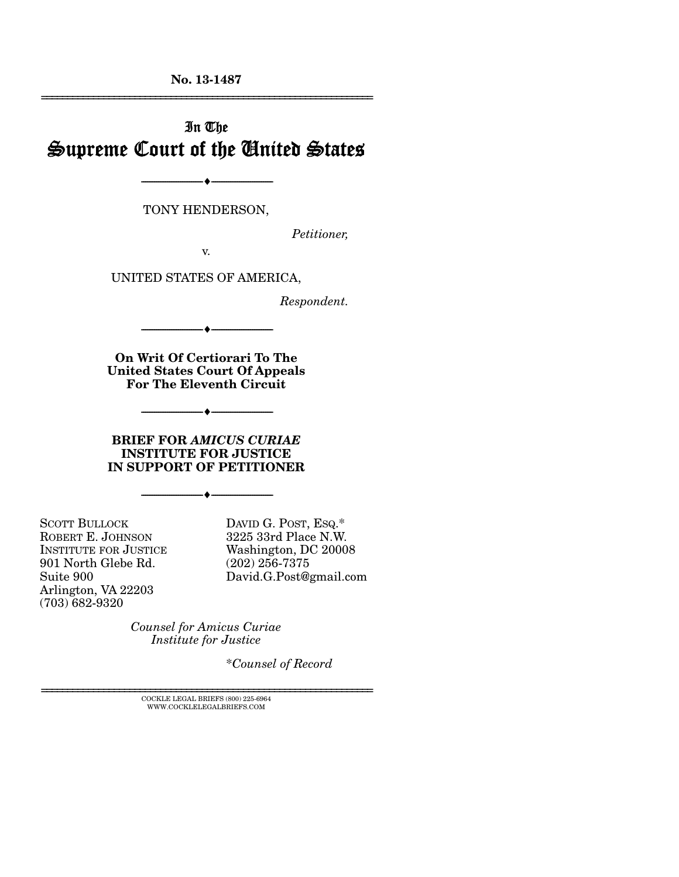**No. 13-1487**  ================================================================

# In The Supreme Court of the United States

TONY HENDERSON,

--------------------------------- ---------------------------------

*Petitioner,* 

v.

UNITED STATES OF AMERICA,

*Respondent.* 

--------------------------------- ---------------------------------

**On Writ Of Certiorari To The United States Court Of Appeals For The Eleventh Circuit** 

 $\overline{\phantom{a}}$   $\overline{\phantom{a}}$ 

#### **BRIEF FOR** *AMICUS CURIAE*  **INSTITUTE FOR JUSTICE IN SUPPORT OF PETITIONER**

--------------------------------- ---------------------------------

SCOTT BULLOCK ROBERT E. JOHNSON INSTITUTE FOR JUSTICE 901 North Glebe Rd. Suite 900 Arlington, VA 22203 (703) 682-9320

DAVID G. POST, ESQ.\* 3225 33rd Place N.W. Washington, DC 20008 (202) 256-7375 David.G.Post@gmail.com

*Counsel for Amicus Curiae Institute for Justice* 

\**Counsel of Record*

 $\textsc{COCKLE}$  LEGAL BRIEFS (800) 225-6964 WWW.COCKLELEGALBRIEFS.COM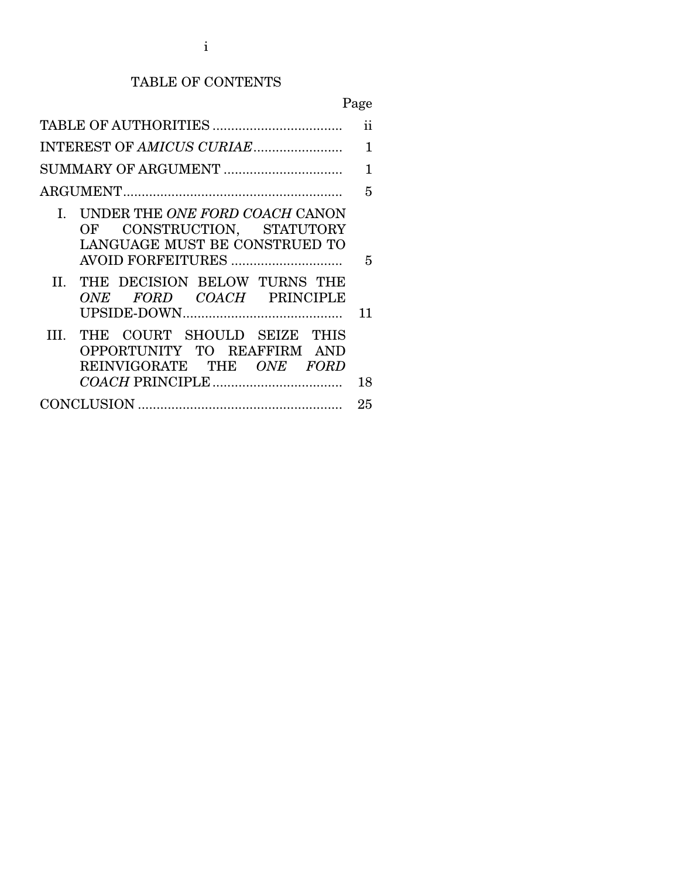# TABLE OF CONTENTS

# Page

|                                                                                                                          | ii |
|--------------------------------------------------------------------------------------------------------------------------|----|
|                                                                                                                          | 1  |
|                                                                                                                          | 1  |
|                                                                                                                          | 5  |
| UNDER THE ONE FORD COACH CANON<br>L.<br>OF CONSTRUCTION, STATUTORY<br>LANGUAGE MUST BE CONSTRUED TO<br>AVOID FORFEITURES | 5  |
| THE DECISION BELOW TURNS THE<br>$\mathbf{H}$<br>ONE FORD COACH PRINCIPLE                                                 | 11 |
| THE COURT SHOULD SEIZE THIS<br>III.<br>OPPORTUNITY TO REAFFIRM AND<br>REINVIGORATE THE ONE FORD                          | 18 |
|                                                                                                                          | 25 |
|                                                                                                                          |    |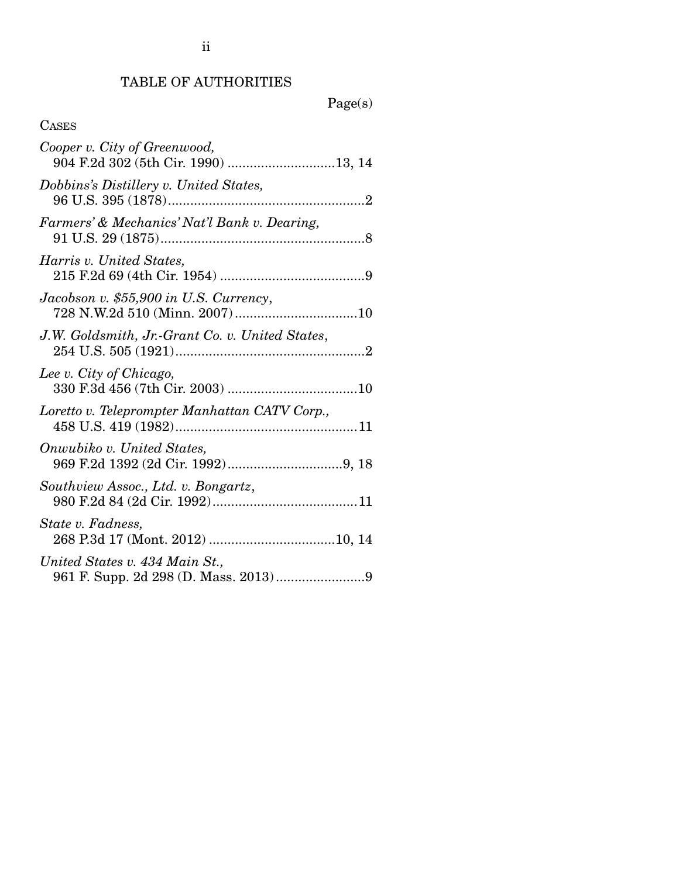# TABLE OF AUTHORITIES

# Page(s)

| Cooper v. City of Greenwood,                    |  |
|-------------------------------------------------|--|
| Dobbins's Distillery v. United States,          |  |
| Farmers' & Mechanics' Nat'l Bank v. Dearing,    |  |
| Harris v. United States,                        |  |
| Jacobson v. \$55,900 in U.S. Currency,          |  |
| J.W. Goldsmith, Jr.-Grant Co. v. United States, |  |
| Lee v. City of Chicago,                         |  |
| Loretto v. Teleprompter Manhattan CATV Corp.,   |  |
| Onwubiko v. United States,                      |  |
| Southview Assoc., Ltd. v. Bongartz,             |  |
| State v. Fadness,                               |  |
| United States v. 434 Main St.,                  |  |

ii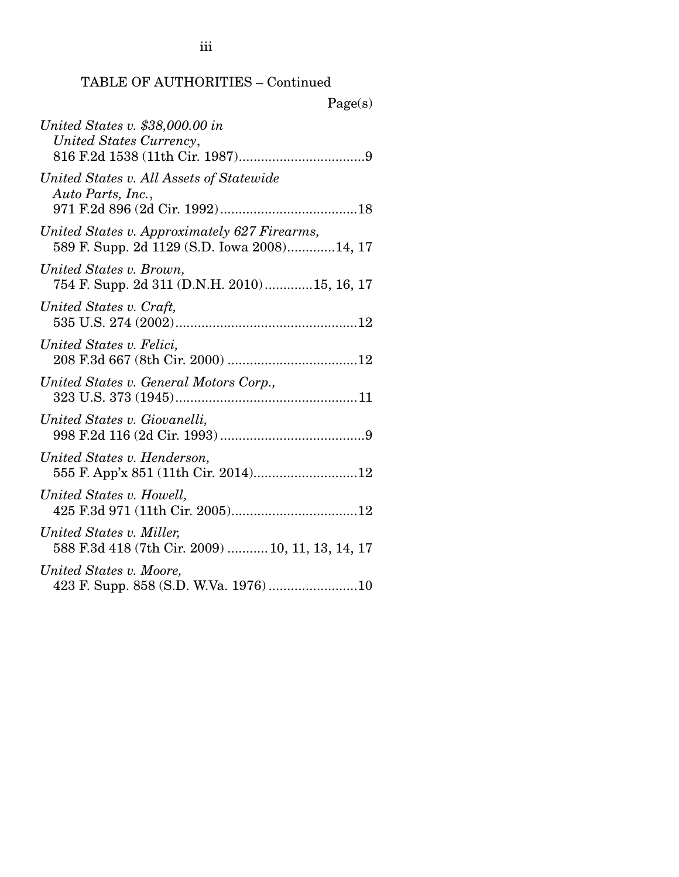| σρ<br>м<br>т |  |
|--------------|--|
|              |  |

| United States v. \$38,000.00 in<br>United States Currency,                                  |
|---------------------------------------------------------------------------------------------|
| United States v. All Assets of Statewide<br>Auto Parts, Inc.,                               |
| United States v. Approximately 627 Firearms,<br>589 F. Supp. 2d 1129 (S.D. Iowa 2008)14, 17 |
| United States v. Brown,<br>754 F. Supp. 2d 311 (D.N.H. 2010)15, 16, 17                      |
| United States v. Craft,                                                                     |
| United States v. Felici,                                                                    |
| United States v. General Motors Corp.,                                                      |
| United States v. Giovanelli,                                                                |
| United States v. Henderson,<br>555 F. App'x 851 (11th Cir. 2014)12                          |
| United States v. Howell,                                                                    |
| United States v. Miller,<br>588 F.3d 418 (7th Cir. 2009)  10, 11, 13, 14, 17                |
| United States v. Moore,<br>423 F. Supp. 858 (S.D. W.Va. 1976)10                             |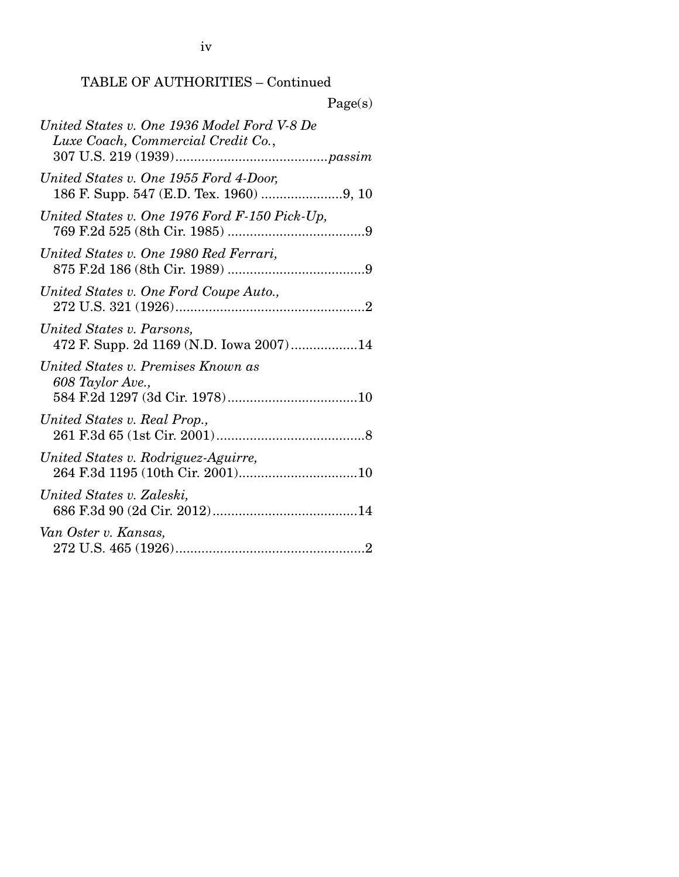iv

### TABLE OF AUTHORITIES – Continued

| Page(s)                                                                           |
|-----------------------------------------------------------------------------------|
| United States v. One 1936 Model Ford V-8 De<br>Luxe Coach, Commercial Credit Co., |
| United States v. One 1955 Ford 4-Door,                                            |
| United States v. One 1976 Ford F-150 Pick-Up,                                     |
| United States v. One 1980 Red Ferrari,                                            |
| United States v. One Ford Coupe Auto.,                                            |
| United States v. Parsons,<br>472 F. Supp. 2d 1169 (N.D. Iowa 2007)14              |
| United States v. Premises Known as<br>608 Taylor Ave.,                            |
| United States v. Real Prop.,                                                      |
| United States v. Rodriguez-Aguirre,                                               |
| United States v. Zaleski,                                                         |
| Van Oster v. Kansas,                                                              |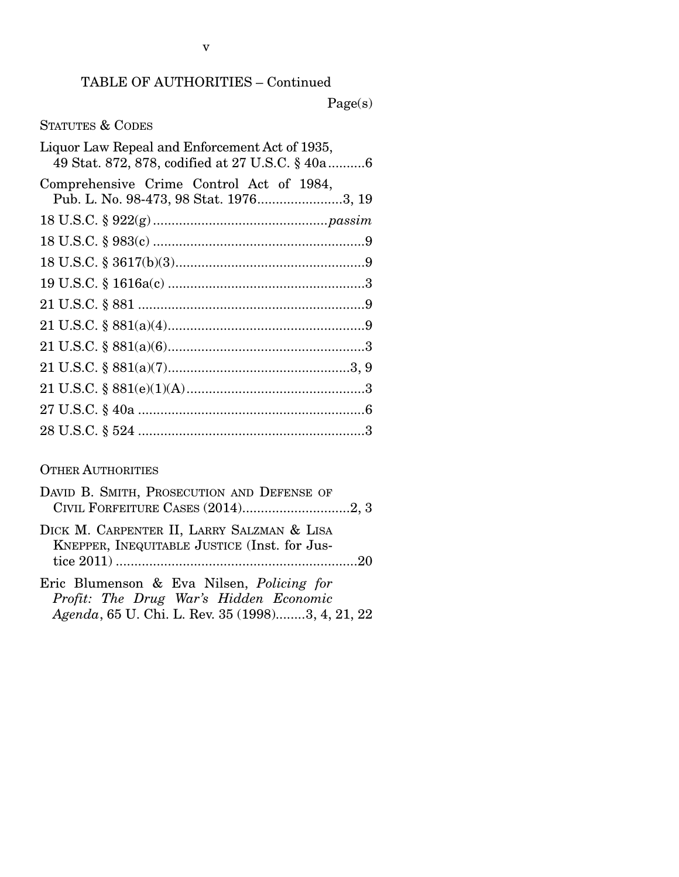Page(s)

STATUTES & CODES

| 49 Stat. 872, 878, codified at 27 U.S.C. § 40a6 |
|-------------------------------------------------|
| Pub. L. No. 98-473, 98 Stat. 19763, 19          |
|                                                 |
|                                                 |
|                                                 |
|                                                 |
|                                                 |
|                                                 |
|                                                 |
|                                                 |
|                                                 |
|                                                 |
|                                                 |
|                                                 |

#### OTHER AUTHORITIES

| DAVID B. SMITH, PROSECUTION AND DEFENSE OF                                                 |  |
|--------------------------------------------------------------------------------------------|--|
|                                                                                            |  |
| DICK M. CARPENTER II, LARRY SALZMAN & LISA<br>KNEPPER, INEQUITABLE JUSTICE (Inst. for Jus- |  |
|                                                                                            |  |
| Eric Blumenson & Eva Nilsen, <i>Policing for</i>                                           |  |
| Profit: The Drug War's Hidden Economic                                                     |  |

*Agenda*, 65 U. Chi. L. Rev. 35 (1998) ........ 3, 4, 21, 22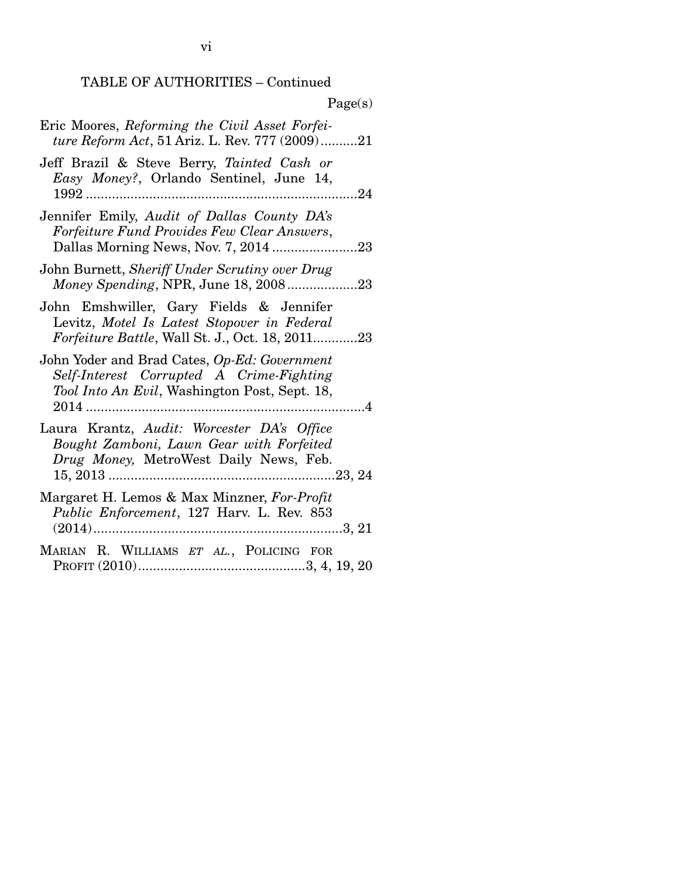| $1 \text{ age(b)}$                                                                                                                        |
|-------------------------------------------------------------------------------------------------------------------------------------------|
| Eric Moores, Reforming the Civil Asset Forfei-<br>ture Reform Act, 51 Ariz. L. Rev. 777 (2009)21                                          |
| Jeff Brazil & Steve Berry, Tainted Cash or<br>Easy Money?, Orlando Sentinel, June 14,                                                     |
| Jennifer Emily, Audit of Dallas County DA's<br>Forfeiture Fund Provides Few Clear Answers,                                                |
| John Burnett, Sheriff Under Scrutiny over Drug<br>Money Spending, NPR, June 18, 200823                                                    |
| John Emshwiller, Gary Fields & Jennifer<br>Levitz, Motel Is Latest Stopover in Federal<br>Forfeiture Battle, Wall St. J., Oct. 18, 201123 |
| John Yoder and Brad Cates, Op-Ed: Government<br>Self-Interest Corrupted A Crime-Fighting<br>Tool Into An Evil, Washington Post, Sept. 18, |
| Laura Krantz, Audit: Worcester DA's Office<br>Bought Zamboni, Lawn Gear with Forfeited<br>Drug Money, MetroWest Daily News, Feb.          |
| Margaret H. Lemos & Max Minzner, For-Profit<br>Public Enforcement, 127 Harv. L. Rev. 853                                                  |
| MARIAN R. WILLIAMS ET AL., POLICING FOR                                                                                                   |

#### $P<sub>A</sub>$ ge(s)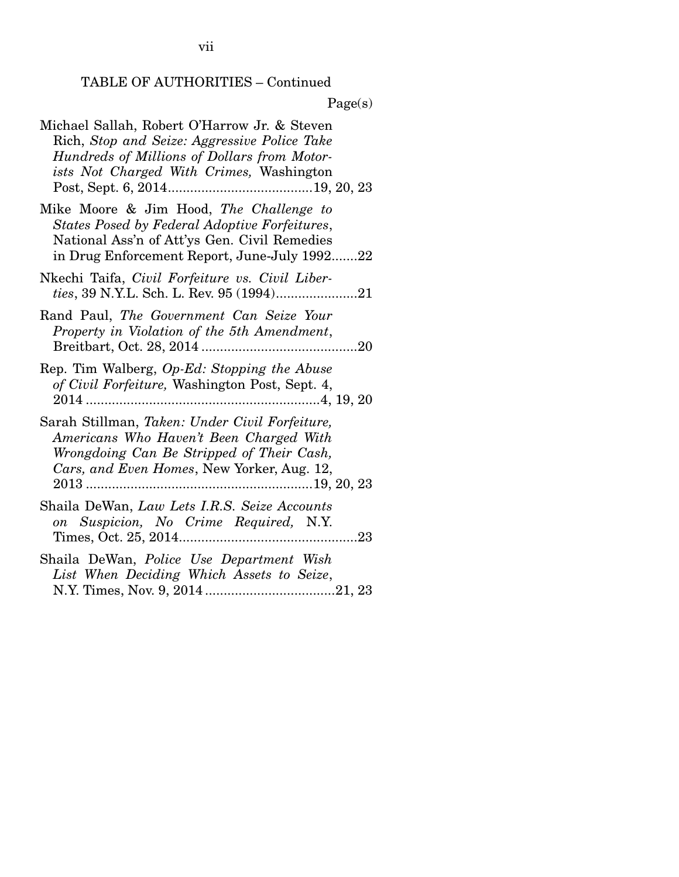| Michael Sallah, Robert O'Harrow Jr. & Steven<br>Rich, Stop and Seize: Aggressive Police Take<br>Hundreds of Millions of Dollars from Motor-<br>ists Not Charged With Crimes, Washington  |
|------------------------------------------------------------------------------------------------------------------------------------------------------------------------------------------|
| Mike Moore & Jim Hood, The Challenge to<br>States Posed by Federal Adoptive Forfeitures,<br>National Ass'n of Att'ys Gen. Civil Remedies<br>in Drug Enforcement Report, June-July 199222 |
| Nkechi Taifa, Civil Forfeiture vs. Civil Liber-                                                                                                                                          |
| Rand Paul, The Government Can Seize Your<br>Property in Violation of the 5th Amendment,                                                                                                  |
| Rep. Tim Walberg, Op-Ed: Stopping the Abuse<br>of Civil Forfeiture, Washington Post, Sept. 4,                                                                                            |
| Sarah Stillman, Taken: Under Civil Forfeiture,<br>Americans Who Haven't Been Charged With<br>Wrongdoing Can Be Stripped of Their Cash,<br>Cars, and Even Homes, New Yorker, Aug. 12,     |
| Shaila DeWan, Law Lets I.R.S. Seize Accounts<br>on Suspicion, No Crime Required, N.Y.                                                                                                    |
| Shaila DeWan, Police Use Department Wish<br>List When Deciding Which Assets to Seize,                                                                                                    |

vii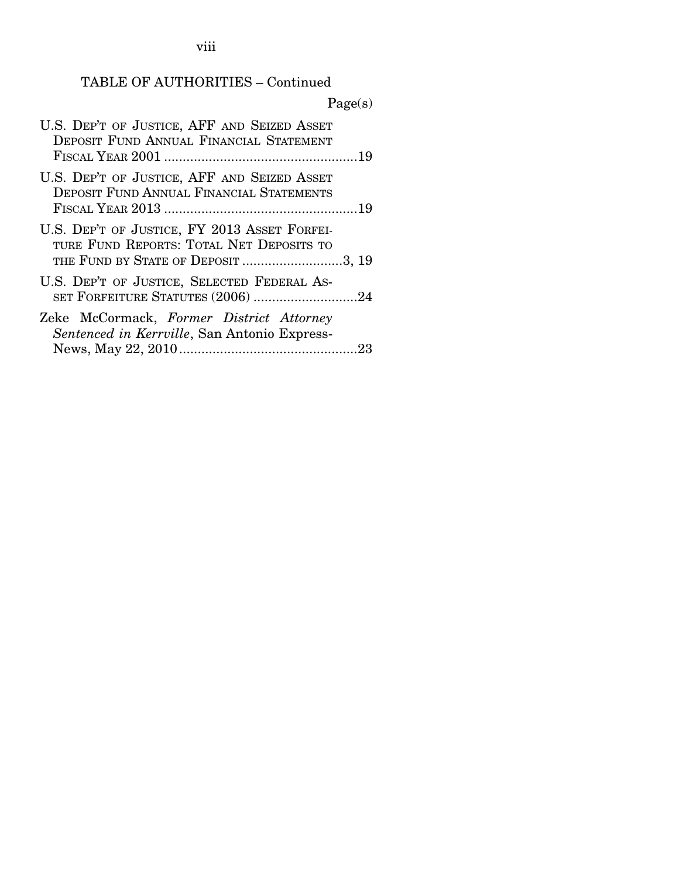viii

### TABLE OF AUTHORITIES – Continued

|                                                                                                                                | Page(s) |
|--------------------------------------------------------------------------------------------------------------------------------|---------|
| U.S. DEP'T OF JUSTICE, AFF AND SEIZED ASSET<br>DEPOSIT FUND ANNUAL FINANCIAL STATEMENT                                         |         |
| U.S. DEP'T OF JUSTICE, AFF AND SEIZED ASSET<br>DEPOSIT FUND ANNUAL FINANCIAL STATEMENTS                                        |         |
| U.S. DEP'T OF JUSTICE, FY 2013 ASSET FORFEI-<br>TURE FUND REPORTS: TOTAL NET DEPOSITS TO<br>THE FUND BY STATE OF DEPOSIT 3, 19 |         |
| U.S. DEP'T OF JUSTICE, SELECTED FEDERAL AS-<br>SET FORFEITURE STATUTES (2006) 24                                               |         |
| Zeke McCormack, Former District Attorney<br>Sentenced in Kerrville, San Antonio Express-                                       |         |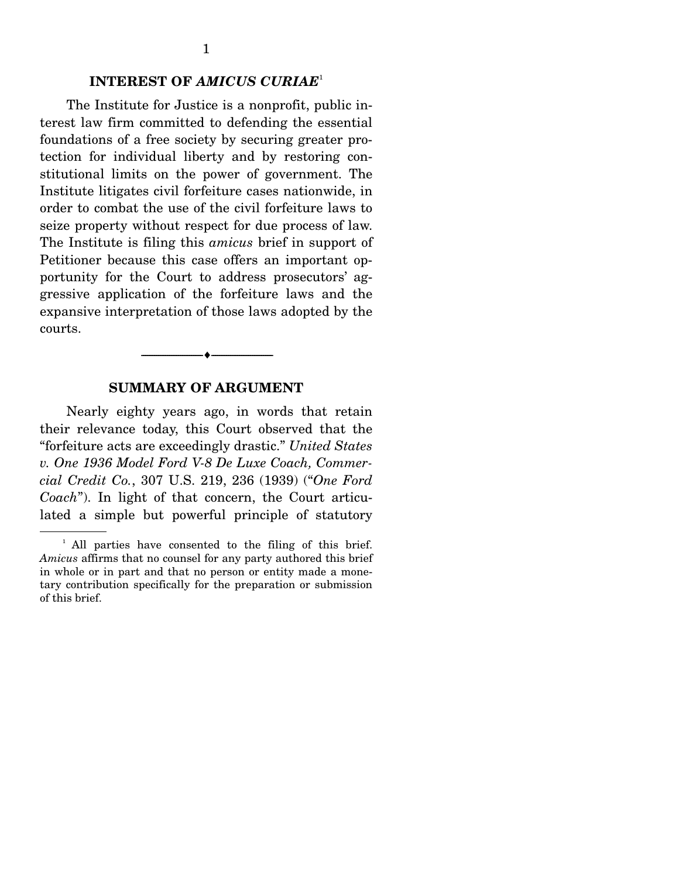#### **INTEREST OF** *AMICUS CURIAE*<sup>1</sup>

The Institute for Justice is a nonprofit, public interest law firm committed to defending the essential foundations of a free society by securing greater protection for individual liberty and by restoring constitutional limits on the power of government. The Institute litigates civil forfeiture cases nationwide, in order to combat the use of the civil forfeiture laws to seize property without respect for due process of law. The Institute is filing this *amicus* brief in support of Petitioner because this case offers an important opportunity for the Court to address prosecutors' aggressive application of the forfeiture laws and the expansive interpretation of those laws adopted by the courts.

#### **SUMMARY OF ARGUMENT**

--------------------------------- ---------------------------------

Nearly eighty years ago, in words that retain their relevance today, this Court observed that the "forfeiture acts are exceedingly drastic." *United States v. One 1936 Model Ford V-8 De Luxe Coach, Commercial Credit Co.*, 307 U.S. 219, 236 (1939) ("*One Ford Coach*"). In light of that concern, the Court articulated a simple but powerful principle of statutory

<sup>&</sup>lt;sup>1</sup> All parties have consented to the filing of this brief. *Amicus* affirms that no counsel for any party authored this brief in whole or in part and that no person or entity made a monetary contribution specifically for the preparation or submission of this brief.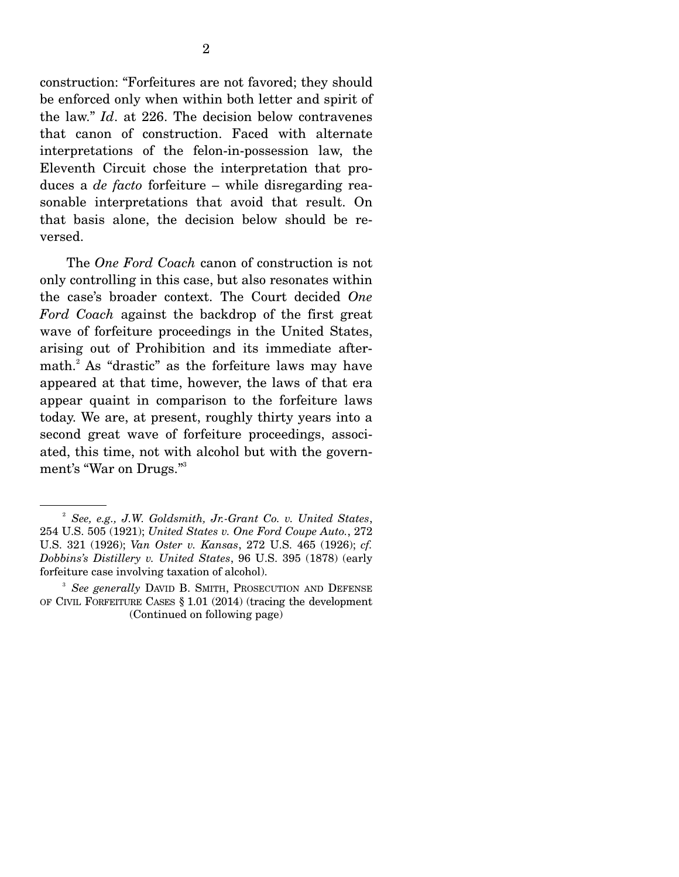construction: "Forfeitures are not favored; they should be enforced only when within both letter and spirit of the law." *Id*. at 226. The decision below contravenes that canon of construction. Faced with alternate interpretations of the felon-in-possession law, the Eleventh Circuit chose the interpretation that produces a *de facto* forfeiture – while disregarding reasonable interpretations that avoid that result. On that basis alone, the decision below should be reversed.

 The *One Ford Coach* canon of construction is not only controlling in this case, but also resonates within the case's broader context. The Court decided *One Ford Coach* against the backdrop of the first great wave of forfeiture proceedings in the United States, arising out of Prohibition and its immediate aftermath.<sup>2</sup> As "drastic" as the forfeiture laws may have appeared at that time, however, the laws of that era appear quaint in comparison to the forfeiture laws today. We are, at present, roughly thirty years into a second great wave of forfeiture proceedings, associated, this time, not with alcohol but with the government's "War on Drugs."3

<sup>2</sup> *See, e.g., J.W. Goldsmith, Jr.-Grant Co. v. United States*, 254 U.S. 505 (1921); *United States v. One Ford Coupe Auto.*, 272 U.S. 321 (1926); *Van Oster v. Kansas*, 272 U.S. 465 (1926); *cf. Dobbins's Distillery v. United States*, 96 U.S. 395 (1878) (early forfeiture case involving taxation of alcohol).

<sup>3</sup> *See generally* DAVID B. SMITH, PROSECUTION AND DEFENSE OF CIVIL FORFEITURE CASES § 1.01 (2014) (tracing the development (Continued on following page)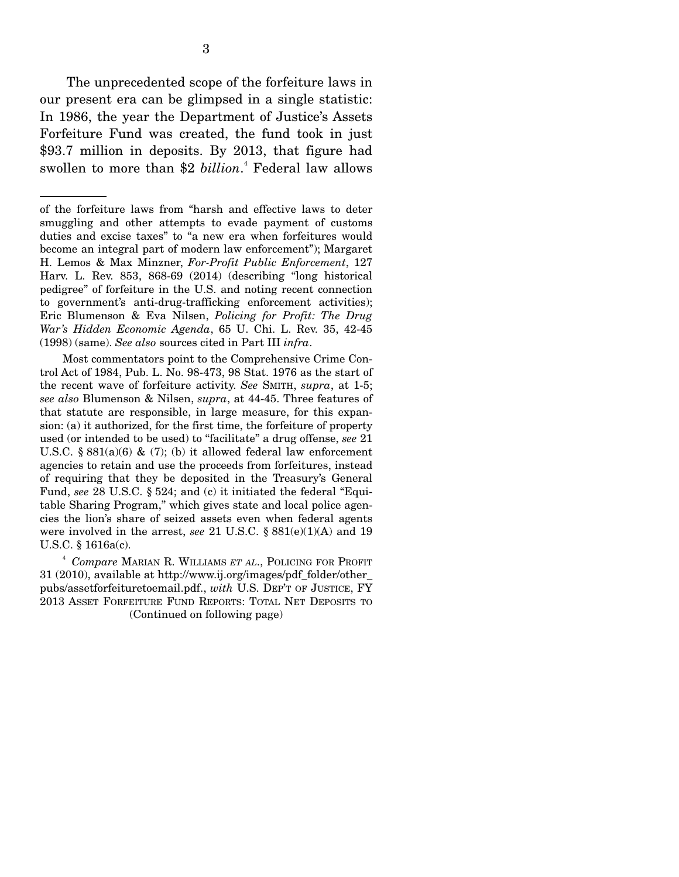The unprecedented scope of the forfeiture laws in our present era can be glimpsed in a single statistic: In 1986, the year the Department of Justice's Assets Forfeiture Fund was created, the fund took in just \$93.7 million in deposits. By 2013, that figure had swollen to more than \$2 *billion*. 4 Federal law allows

 Most commentators point to the Comprehensive Crime Control Act of 1984, Pub. L. No. 98-473, 98 Stat. 1976 as the start of the recent wave of forfeiture activity. *See* SMITH, *supra*, at 1-5; *see also* Blumenson & Nilsen, *supra*, at 44-45. Three features of that statute are responsible, in large measure, for this expansion: (a) it authorized, for the first time, the forfeiture of property used (or intended to be used) to "facilitate" a drug offense, *see* 21 U.S.C. § 881(a)(6) & (7); (b) it allowed federal law enforcement agencies to retain and use the proceeds from forfeitures, instead of requiring that they be deposited in the Treasury's General Fund, *see* 28 U.S.C. § 524; and (c) it initiated the federal "Equitable Sharing Program," which gives state and local police agencies the lion's share of seized assets even when federal agents were involved in the arrest, *see* 21 U.S.C. § 881(e)(1)(A) and 19 U.S.C. § 1616a(c).

<sup>4</sup> *Compare* MARIAN R. WILLIAMS *ET AL*., POLICING FOR PROFIT 31 (2010), available at http://www.ij.org/images/pdf\_folder/other\_ pubs/assetforfeituretoemail.pdf., *with* U.S. DEP'T OF JUSTICE, FY 2013 ASSET FORFEITURE FUND REPORTS: TOTAL NET DEPOSITS TO (Continued on following page)

of the forfeiture laws from "harsh and effective laws to deter smuggling and other attempts to evade payment of customs duties and excise taxes" to "a new era when forfeitures would become an integral part of modern law enforcement"); Margaret H. Lemos & Max Minzner, *For-Profit Public Enforcement*, 127 Harv. L. Rev. 853, 868-69 (2014) (describing "long historical pedigree" of forfeiture in the U.S. and noting recent connection to government's anti-drug-trafficking enforcement activities); Eric Blumenson & Eva Nilsen, *Policing for Profit: The Drug War's Hidden Economic Agenda*, 65 U. Chi. L. Rev. 35, 42-45 (1998) (same). *See also* sources cited in Part III *infra*.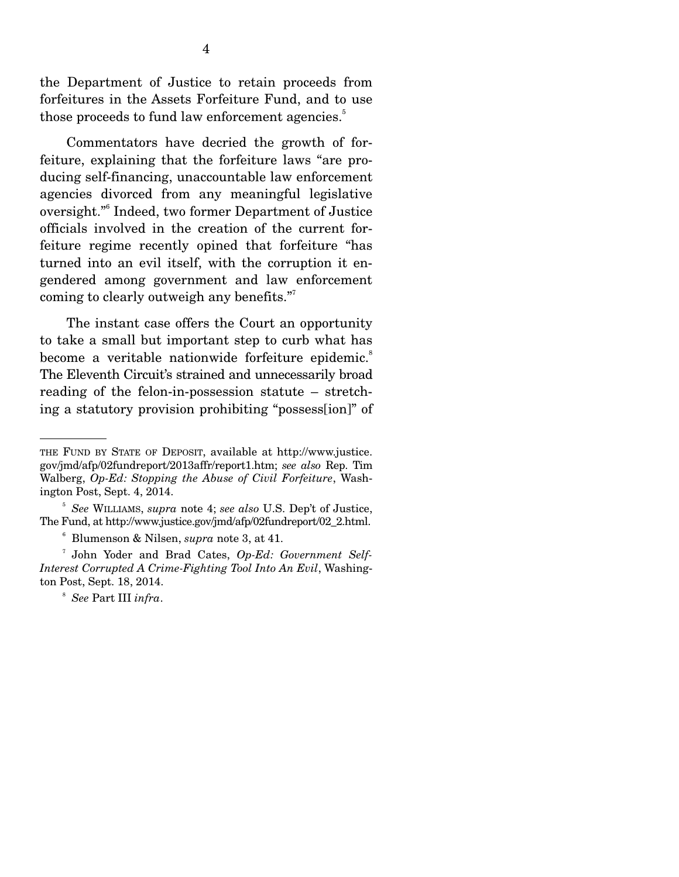the Department of Justice to retain proceeds from forfeitures in the Assets Forfeiture Fund, and to use those proceeds to fund law enforcement agencies.<sup>5</sup>

 Commentators have decried the growth of forfeiture, explaining that the forfeiture laws "are producing self-financing, unaccountable law enforcement agencies divorced from any meaningful legislative oversight."<sup>6</sup> Indeed, two former Department of Justice officials involved in the creation of the current forfeiture regime recently opined that forfeiture "has turned into an evil itself, with the corruption it engendered among government and law enforcement coming to clearly outweigh any benefits."7

 The instant case offers the Court an opportunity to take a small but important step to curb what has become a veritable nationwide forfeiture epidemic.<sup>8</sup> The Eleventh Circuit's strained and unnecessarily broad reading of the felon-in-possession statute – stretching a statutory provision prohibiting "possess[ion]" of

THE FUND BY STATE OF DEPOSIT, available at http://www.justice. gov/jmd/afp/02fundreport/2013affr/report1.htm; *see also* Rep. Tim Walberg, *Op-Ed: Stopping the Abuse of Civil Forfeiture*, Washington Post, Sept. 4, 2014.

<sup>5</sup> *See* WILLIAMS, *supra* note 4; *see also* U.S. Dep't of Justice, The Fund, at http://www.justice.gov/jmd/afp/02fundreport/02\_2.html.

<sup>&</sup>lt;sup>6</sup> Blumenson & Nilsen, *supra* note 3, at 41.

<sup>&</sup>lt;sup>7</sup> John Yoder and Brad Cates, Op-Ed: Government Self-*Interest Corrupted A Crime-Fighting Tool Into An Evil*, Washington Post, Sept. 18, 2014.

<sup>8</sup> *See* Part III *infra*.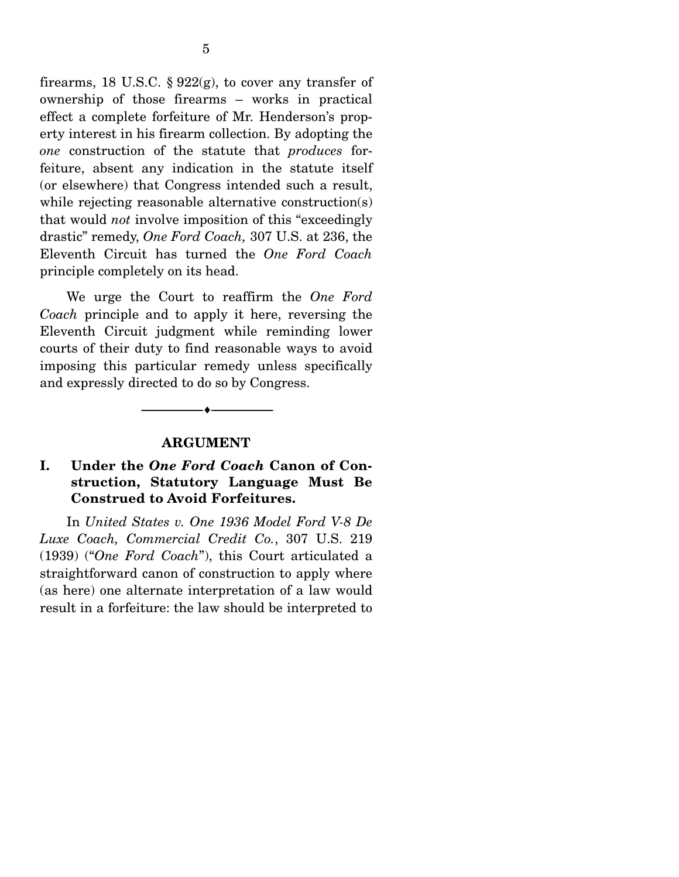firearms, 18 U.S.C. §  $922(g)$ , to cover any transfer of ownership of those firearms – works in practical effect a complete forfeiture of Mr. Henderson's property interest in his firearm collection. By adopting the *one* construction of the statute that *produces* forfeiture, absent any indication in the statute itself (or elsewhere) that Congress intended such a result, while rejecting reasonable alternative construction(s) that would *not* involve imposition of this "exceedingly drastic" remedy, *One Ford Coach,* 307 U.S. at 236, the Eleventh Circuit has turned the *One Ford Coach* principle completely on its head.

 We urge the Court to reaffirm the *One Ford Coach* principle and to apply it here, reversing the Eleventh Circuit judgment while reminding lower courts of their duty to find reasonable ways to avoid imposing this particular remedy unless specifically and expressly directed to do so by Congress.

#### **ARGUMENT**

--------------------------------- ---------------------------------

### **I. Under the** *One Ford Coach* **Canon of Construction, Statutory Language Must Be Construed to Avoid Forfeitures.**

In *United States v. One 1936 Model Ford V-8 De Luxe Coach, Commercial Credit Co.*, 307 U.S. 219 (1939) ("*One Ford Coach*"), this Court articulated a straightforward canon of construction to apply where (as here) one alternate interpretation of a law would result in a forfeiture: the law should be interpreted to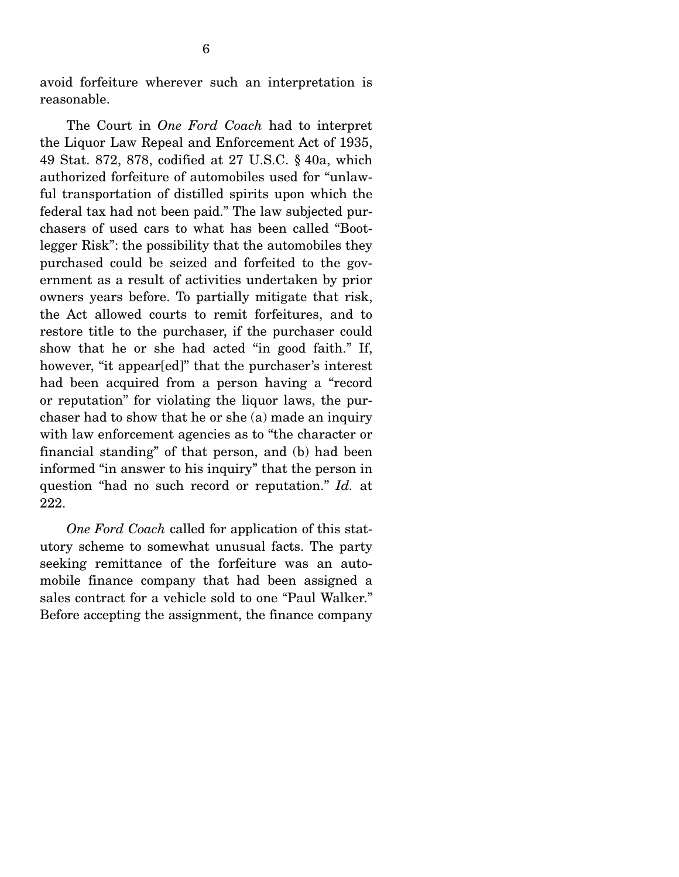avoid forfeiture wherever such an interpretation is reasonable.

 The Court in *One Ford Coach* had to interpret the Liquor Law Repeal and Enforcement Act of 1935, 49 Stat. 872, 878, codified at 27 U.S.C. § 40a, which authorized forfeiture of automobiles used for "unlawful transportation of distilled spirits upon which the federal tax had not been paid." The law subjected purchasers of used cars to what has been called "Bootlegger Risk": the possibility that the automobiles they purchased could be seized and forfeited to the government as a result of activities undertaken by prior owners years before. To partially mitigate that risk, the Act allowed courts to remit forfeitures, and to restore title to the purchaser, if the purchaser could show that he or she had acted "in good faith." If, however, "it appear[ed]" that the purchaser's interest had been acquired from a person having a "record or reputation" for violating the liquor laws, the purchaser had to show that he or she (a) made an inquiry with law enforcement agencies as to "the character or financial standing" of that person, and (b) had been informed "in answer to his inquiry" that the person in question "had no such record or reputation." *Id.* at 222.

*One Ford Coach* called for application of this statutory scheme to somewhat unusual facts. The party seeking remittance of the forfeiture was an automobile finance company that had been assigned a sales contract for a vehicle sold to one "Paul Walker." Before accepting the assignment, the finance company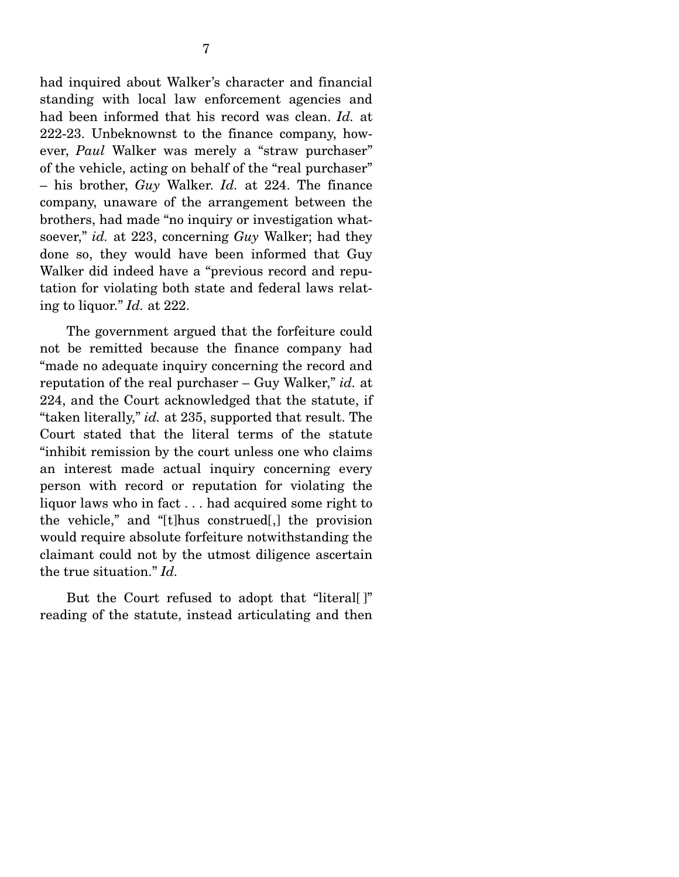had inquired about Walker's character and financial standing with local law enforcement agencies and had been informed that his record was clean. *Id.* at 222-23. Unbeknownst to the finance company, however, *Paul* Walker was merely a "straw purchaser" of the vehicle, acting on behalf of the "real purchaser" – his brother, *Guy* Walker. *Id.* at 224. The finance company, unaware of the arrangement between the brothers, had made "no inquiry or investigation whatsoever," *id.* at 223, concerning *Guy* Walker; had they done so, they would have been informed that Guy Walker did indeed have a "previous record and reputation for violating both state and federal laws relating to liquor." *Id.* at 222.

 The government argued that the forfeiture could not be remitted because the finance company had "made no adequate inquiry concerning the record and reputation of the real purchaser – Guy Walker," *id.* at 224, and the Court acknowledged that the statute, if "taken literally," *id.* at 235, supported that result. The Court stated that the literal terms of the statute "inhibit remission by the court unless one who claims an interest made actual inquiry concerning every person with record or reputation for violating the liquor laws who in fact . . . had acquired some right to the vehicle," and "[t]hus construed[,] the provision would require absolute forfeiture notwithstanding the claimant could not by the utmost diligence ascertain the true situation." *Id.*

But the Court refused to adopt that "literal |" reading of the statute, instead articulating and then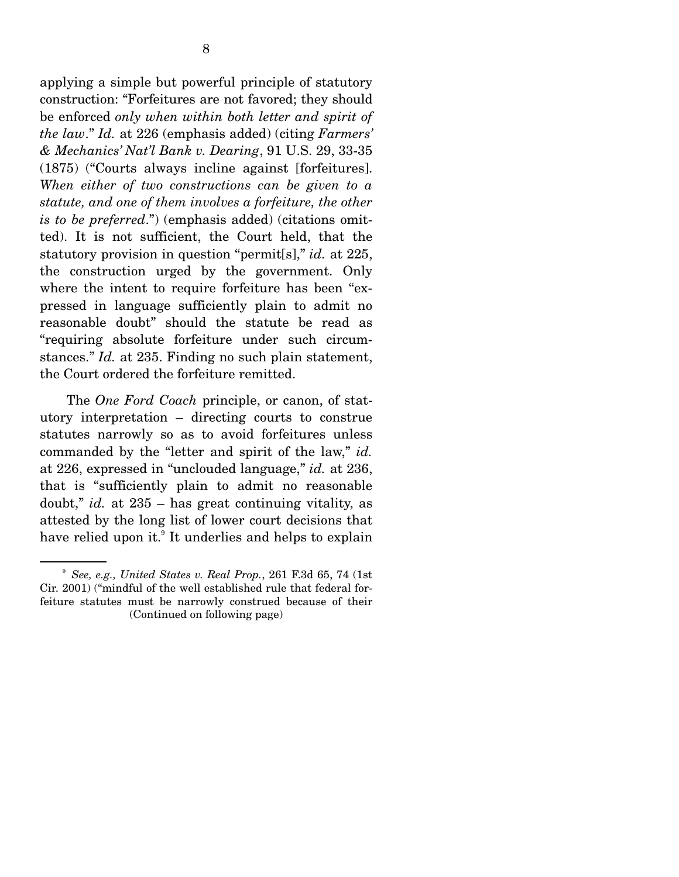applying a simple but powerful principle of statutory construction: "Forfeitures are not favored; they should be enforced *only when within both letter and spirit of the law*." *Id.* at 226 (emphasis added) (citing *Farmers' & Mechanics' Nat'l Bank v. Dearing*, 91 U.S. 29, 33-35 (1875) ("Courts always incline against [forfeitures]. *When either of two constructions can be given to a statute, and one of them involves a forfeiture, the other is to be preferred*.") (emphasis added) (citations omitted). It is not sufficient, the Court held, that the statutory provision in question "permit[s]," *id.* at 225, the construction urged by the government. Only where the intent to require forfeiture has been "expressed in language sufficiently plain to admit no reasonable doubt" should the statute be read as "requiring absolute forfeiture under such circumstances." *Id.* at 235. Finding no such plain statement, the Court ordered the forfeiture remitted.

 The *One Ford Coach* principle, or canon, of statutory interpretation – directing courts to construe statutes narrowly so as to avoid forfeitures unless commanded by the "letter and spirit of the law," *id.*  at 226, expressed in "unclouded language," *id.* at 236, that is "sufficiently plain to admit no reasonable doubt," *id.* at 235 – has great continuing vitality, as attested by the long list of lower court decisions that have relied upon it.<sup>9</sup> It underlies and helps to explain

<sup>9</sup> *See, e.g., United States v. Real Prop.*, 261 F.3d 65, 74 (1st Cir. 2001) ("mindful of the well established rule that federal forfeiture statutes must be narrowly construed because of their (Continued on following page)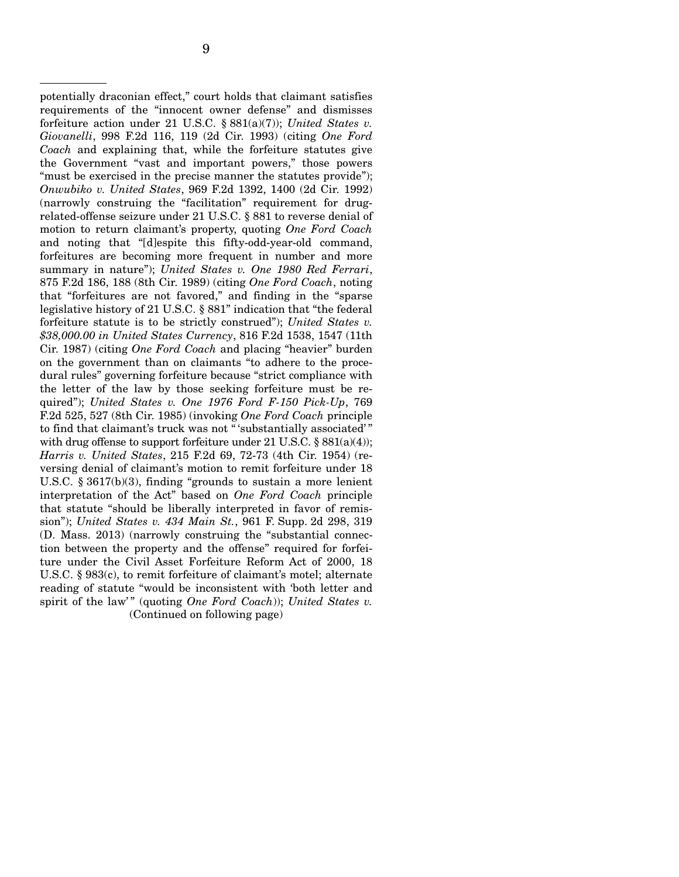potentially draconian effect," court holds that claimant satisfies requirements of the "innocent owner defense" and dismisses forfeiture action under 21 U.S.C. § 881(a)(7)); *United States v. Giovanelli*, 998 F.2d 116, 119 (2d Cir. 1993) (citing *One Ford Coach* and explaining that, while the forfeiture statutes give the Government "vast and important powers," those powers "must be exercised in the precise manner the statutes provide"); *Onwubiko v. United States*, 969 F.2d 1392, 1400 (2d Cir. 1992) (narrowly construing the "facilitation" requirement for drugrelated-offense seizure under 21 U.S.C. § 881 to reverse denial of motion to return claimant's property, quoting *One Ford Coach* and noting that "[d]espite this fifty-odd-year-old command, forfeitures are becoming more frequent in number and more summary in nature"); *United States v. One 1980 Red Ferrari*, 875 F.2d 186, 188 (8th Cir. 1989) (citing *One Ford Coach*, noting that "forfeitures are not favored," and finding in the "sparse legislative history of 21 U.S.C. § 881" indication that "the federal forfeiture statute is to be strictly construed"); *United States v. \$38,000.00 in United States Currency*, 816 F.2d 1538, 1547 (11th Cir. 1987) (citing *One Ford Coach* and placing "heavier" burden on the government than on claimants "to adhere to the procedural rules" governing forfeiture because "strict compliance with the letter of the law by those seeking forfeiture must be required"); *United States v. One 1976 Ford F-150 Pick-Up*, 769 F.2d 525, 527 (8th Cir. 1985) (invoking *One Ford Coach* principle to find that claimant's truck was not " 'substantially associated' " with drug offense to support forfeiture under 21 U.S.C.  $\S 881(a)(4)$ ; *Harris v. United States*, 215 F.2d 69, 72-73 (4th Cir. 1954) (reversing denial of claimant's motion to remit forfeiture under 18 U.S.C. § 3617(b)(3), finding "grounds to sustain a more lenient interpretation of the Act" based on *One Ford Coach* principle that statute "should be liberally interpreted in favor of remission"); *United States v. 434 Main St.*, 961 F. Supp. 2d 298, 319 (D. Mass. 2013) (narrowly construing the "substantial connection between the property and the offense" required for forfeiture under the Civil Asset Forfeiture Reform Act of 2000, 18 U.S.C. § 983(c), to remit forfeiture of claimant's motel; alternate reading of statute "would be inconsistent with 'both letter and spirit of the law'" (quoting *One Ford Coach*)); *United States v.* (Continued on following page)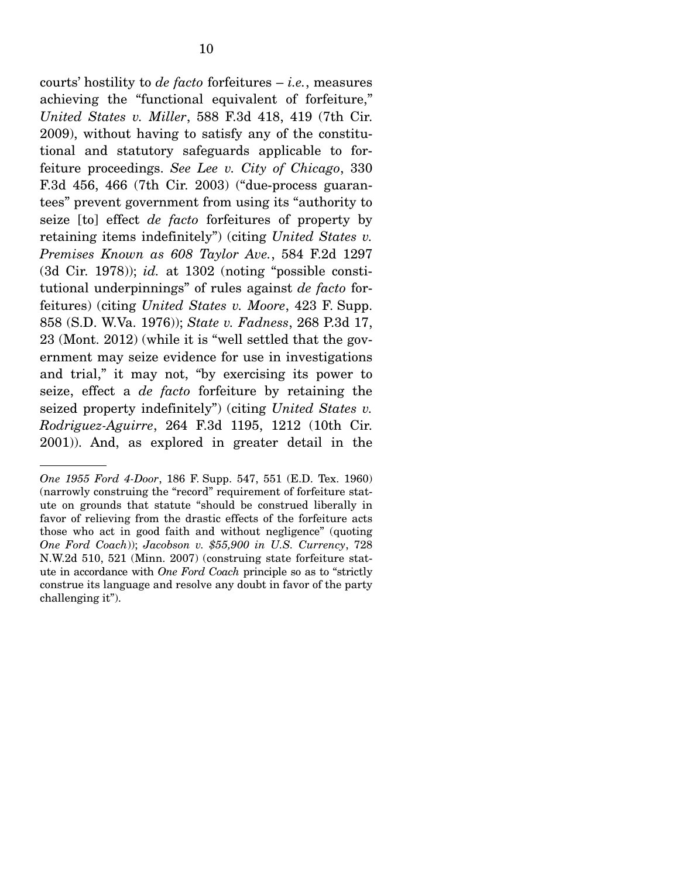courts' hostility to *de facto* forfeitures – *i.e.*, measures achieving the "functional equivalent of forfeiture," *United States v. Miller*, 588 F.3d 418, 419 (7th Cir. 2009), without having to satisfy any of the constitutional and statutory safeguards applicable to forfeiture proceedings. *See Lee v. City of Chicago*, 330 F.3d 456, 466 (7th Cir. 2003) ("due-process guarantees" prevent government from using its "authority to seize [to] effect *de facto* forfeitures of property by retaining items indefinitely") (citing *United States v. Premises Known as 608 Taylor Ave.*, 584 F.2d 1297 (3d Cir. 1978)); *id.* at 1302 (noting "possible constitutional underpinnings" of rules against *de facto* for-

feitures) (citing *United States v. Moore*, 423 F. Supp. 858 (S.D. W.Va. 1976)); *State v. Fadness*, 268 P.3d 17, 23 (Mont. 2012) (while it is "well settled that the government may seize evidence for use in investigations and trial," it may not, "by exercising its power to seize, effect a *de facto* forfeiture by retaining the seized property indefinitely") (citing *United States v. Rodriguez-Aguirre*, 264 F.3d 1195, 1212 (10th Cir. 2001)). And, as explored in greater detail in the

*One 1955 Ford 4-Door*, 186 F. Supp. 547, 551 (E.D. Tex. 1960) (narrowly construing the "record" requirement of forfeiture statute on grounds that statute "should be construed liberally in favor of relieving from the drastic effects of the forfeiture acts those who act in good faith and without negligence" (quoting *One Ford Coach*)); *Jacobson v. \$55,900 in U.S. Currency*, 728 N.W.2d 510, 521 (Minn. 2007) (construing state forfeiture statute in accordance with *One Ford Coach* principle so as to "strictly construe its language and resolve any doubt in favor of the party challenging it").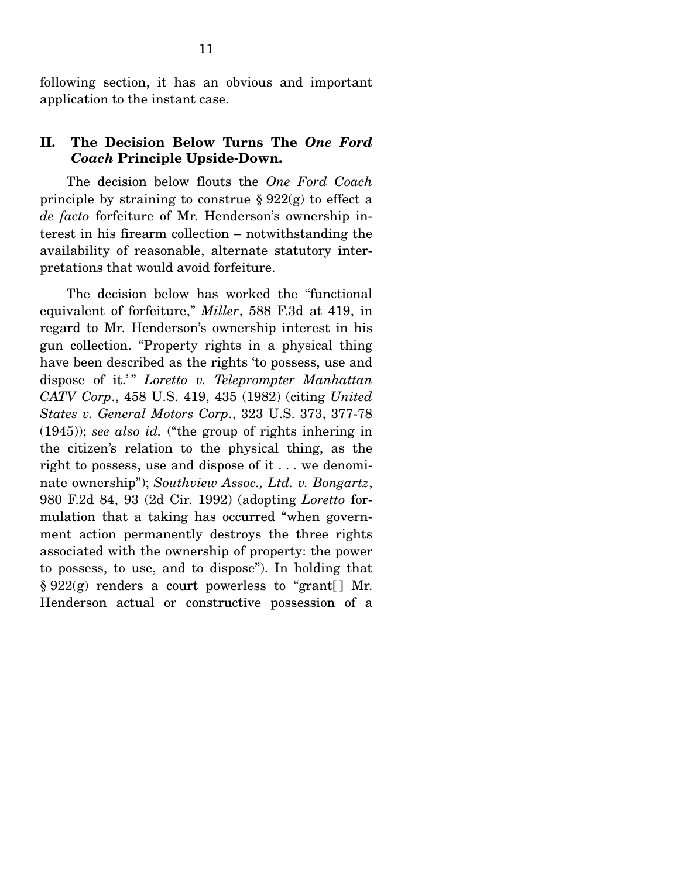following section, it has an obvious and important application to the instant case.

#### **II. The Decision Below Turns The** *One Ford Coach* **Principle Upside-Down.**

The decision below flouts the *One Ford Coach*  principle by straining to construe  $\S 922(g)$  to effect a *de facto* forfeiture of Mr. Henderson's ownership interest in his firearm collection – notwithstanding the availability of reasonable, alternate statutory interpretations that would avoid forfeiture.

 The decision below has worked the "functional equivalent of forfeiture," *Miller*, 588 F.3d at 419, in regard to Mr. Henderson's ownership interest in his gun collection. "Property rights in a physical thing have been described as the rights 'to possess, use and dispose of it.'" *Loretto v. Teleprompter Manhattan CATV Corp*., 458 U.S. 419, 435 (1982) (citing *United States v. General Motors Corp*., 323 U.S. 373, 377-78 (1945)); *see also id.* ("the group of rights inhering in the citizen's relation to the physical thing, as the right to possess, use and dispose of it . . . we denominate ownership"); *Southview Assoc., Ltd. v. Bongartz*, 980 F.2d 84, 93 (2d Cir. 1992) (adopting *Loretto* formulation that a taking has occurred "when government action permanently destroys the three rights associated with the ownership of property: the power to possess, to use, and to dispose"). In holding that  $\S 922(g)$  renders a court powerless to "grant[] Mr. Henderson actual or constructive possession of a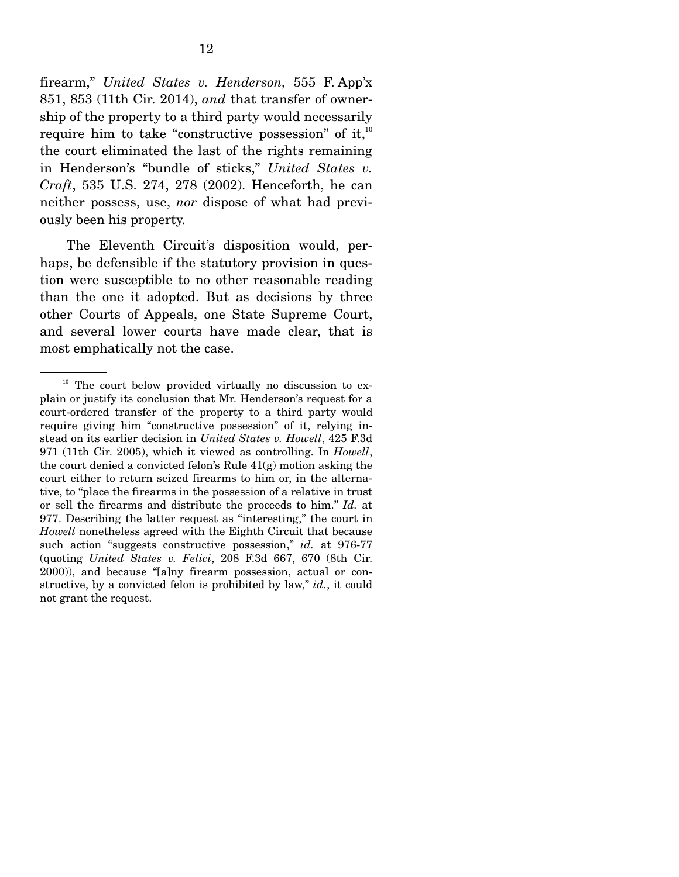firearm," *United States v. Henderson,* 555 F. App'x 851, 853 (11th Cir. 2014), *and* that transfer of ownership of the property to a third party would necessarily require him to take "constructive possession" of it, $10$ the court eliminated the last of the rights remaining in Henderson's "bundle of sticks," *United States v. Craft*, 535 U.S. 274, 278 (2002). Henceforth, he can neither possess, use, *nor* dispose of what had previously been his property.

 The Eleventh Circuit's disposition would, perhaps, be defensible if the statutory provision in question were susceptible to no other reasonable reading than the one it adopted. But as decisions by three other Courts of Appeals, one State Supreme Court, and several lower courts have made clear, that is most emphatically not the case.

<sup>&</sup>lt;sup>10</sup> The court below provided virtually no discussion to explain or justify its conclusion that Mr. Henderson's request for a court-ordered transfer of the property to a third party would require giving him "constructive possession" of it, relying instead on its earlier decision in *United States v. Howell*, 425 F.3d 971 (11th Cir. 2005), which it viewed as controlling. In *Howell*, the court denied a convicted felon's Rule 41(g) motion asking the court either to return seized firearms to him or, in the alternative, to "place the firearms in the possession of a relative in trust or sell the firearms and distribute the proceeds to him." *Id.* at 977. Describing the latter request as "interesting," the court in *Howell* nonetheless agreed with the Eighth Circuit that because such action "suggests constructive possession," *id.* at 976-77 (quoting *United States v. Felici*, 208 F.3d 667, 670 (8th Cir. 2000)), and because "[a]ny firearm possession, actual or constructive, by a convicted felon is prohibited by law," *id.*, it could not grant the request.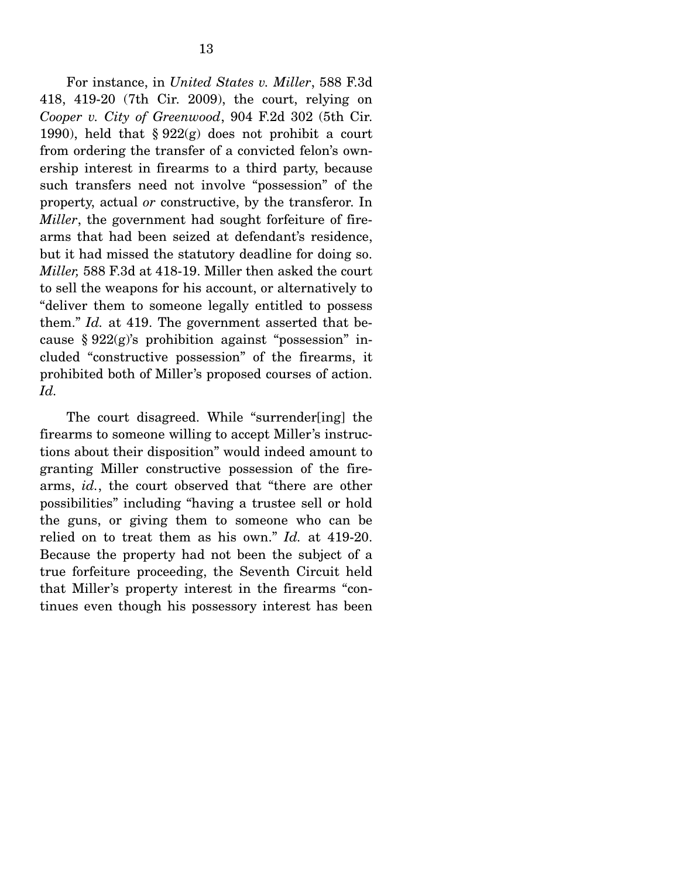For instance, in *United States v. Miller*, 588 F.3d 418, 419-20 (7th Cir. 2009), the court, relying on *Cooper v. City of Greenwood*, 904 F.2d 302 (5th Cir. 1990), held that  $\S 922(g)$  does not prohibit a court from ordering the transfer of a convicted felon's ownership interest in firearms to a third party, because such transfers need not involve "possession" of the property, actual *or* constructive, by the transferor. In *Miller*, the government had sought forfeiture of firearms that had been seized at defendant's residence, but it had missed the statutory deadline for doing so. *Miller,* 588 F.3d at 418-19. Miller then asked the court to sell the weapons for his account, or alternatively to "deliver them to someone legally entitled to possess them." *Id.* at 419. The government asserted that because  $§ 922(g)$ 's prohibition against "possession" included "constructive possession" of the firearms, it prohibited both of Miller's proposed courses of action. *Id.*

 The court disagreed. While "surrender[ing] the firearms to someone willing to accept Miller's instructions about their disposition" would indeed amount to granting Miller constructive possession of the firearms, *id.*, the court observed that "there are other possibilities" including "having a trustee sell or hold the guns, or giving them to someone who can be relied on to treat them as his own." *Id.* at 419-20. Because the property had not been the subject of a true forfeiture proceeding, the Seventh Circuit held that Miller's property interest in the firearms "continues even though his possessory interest has been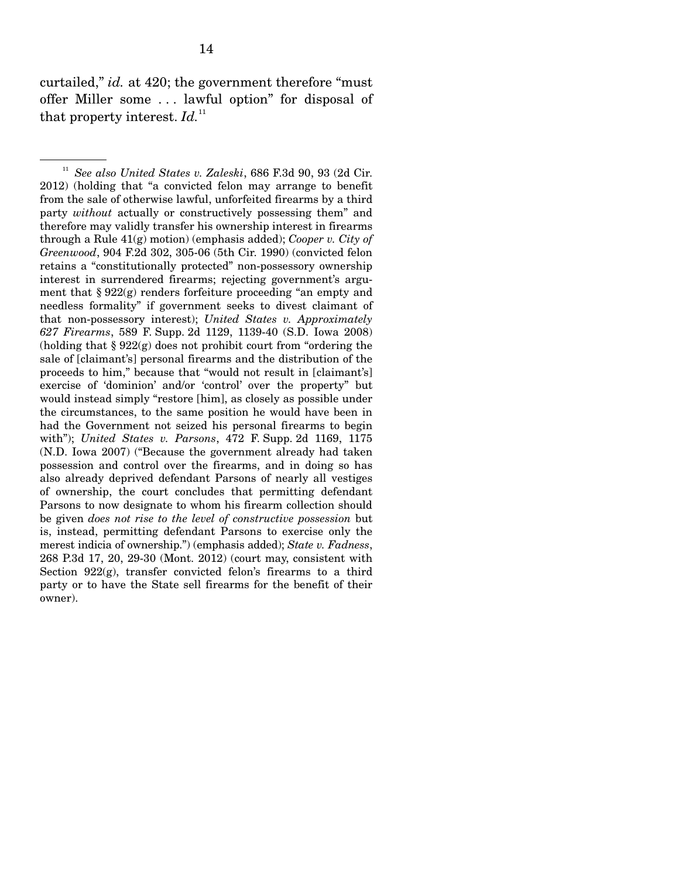curtailed," *id.* at 420; the government therefore "must offer Miller some . . . lawful option" for disposal of that property interest.  $Id$ <sup>11</sup>

<sup>11</sup> *See also United States v. Zaleski*, 686 F.3d 90, 93 (2d Cir. 2012) (holding that "a convicted felon may arrange to benefit from the sale of otherwise lawful, unforfeited firearms by a third party *without* actually or constructively possessing them" and therefore may validly transfer his ownership interest in firearms through a Rule 41(g) motion) (emphasis added); *Cooper v. City of Greenwood*, 904 F.2d 302, 305-06 (5th Cir. 1990) (convicted felon retains a "constitutionally protected" non-possessory ownership interest in surrendered firearms; rejecting government's argument that  $\S 922(g)$  renders forfeiture proceeding "an empty and needless formality" if government seeks to divest claimant of that non-possessory interest); *United States v. Approximately 627 Firearms*, 589 F. Supp. 2d 1129, 1139-40 (S.D. Iowa 2008) (holding that § 922(g) does not prohibit court from "ordering the sale of [claimant's] personal firearms and the distribution of the proceeds to him," because that "would not result in [claimant's] exercise of 'dominion' and/or 'control' over the property" but would instead simply "restore [him], as closely as possible under the circumstances, to the same position he would have been in had the Government not seized his personal firearms to begin with"); *United States v. Parsons*, 472 F. Supp. 2d 1169, 1175 (N.D. Iowa 2007) ("Because the government already had taken possession and control over the firearms, and in doing so has also already deprived defendant Parsons of nearly all vestiges of ownership, the court concludes that permitting defendant Parsons to now designate to whom his firearm collection should be given *does not rise to the level of constructive possession* but is, instead, permitting defendant Parsons to exercise only the merest indicia of ownership.") (emphasis added); *State v. Fadness*, 268 P.3d 17, 20, 29-30 (Mont. 2012) (court may, consistent with Section 922(g), transfer convicted felon's firearms to a third party or to have the State sell firearms for the benefit of their owner).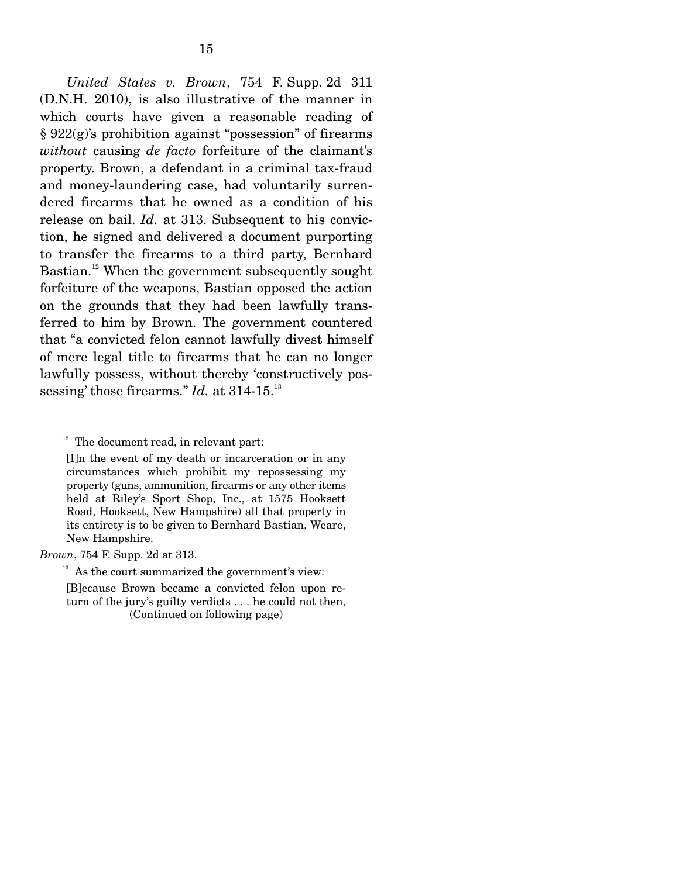*United States v. Brown*, 754 F. Supp. 2d 311 (D.N.H. 2010), is also illustrative of the manner in which courts have given a reasonable reading of § 922(g)'s prohibition against "possession" of firearms *without* causing *de facto* forfeiture of the claimant's property. Brown, a defendant in a criminal tax-fraud and money-laundering case, had voluntarily surrendered firearms that he owned as a condition of his release on bail. *Id.* at 313. Subsequent to his conviction, he signed and delivered a document purporting to transfer the firearms to a third party, Bernhard Bastian.<sup>12</sup> When the government subsequently sought forfeiture of the weapons, Bastian opposed the action on the grounds that they had been lawfully transferred to him by Brown. The government countered that "a convicted felon cannot lawfully divest himself of mere legal title to firearms that he can no longer lawfully possess, without thereby 'constructively possessing' those firearms." *Id.* at 314-15.<sup>13</sup>

*Brown*, 754 F. Supp. 2d at 313.

 $12$  The document read, in relevant part:

<sup>[</sup>I]n the event of my death or incarceration or in any circumstances which prohibit my repossessing my property (guns, ammunition, firearms or any other items held at Riley's Sport Shop, Inc., at 1575 Hooksett Road, Hooksett, New Hampshire) all that property in its entirety is to be given to Bernhard Bastian, Weare, New Hampshire.

 $13$  As the court summarized the government's view:

<sup>[</sup>B]ecause Brown became a convicted felon upon return of the jury's guilty verdicts . . . he could not then, (Continued on following page)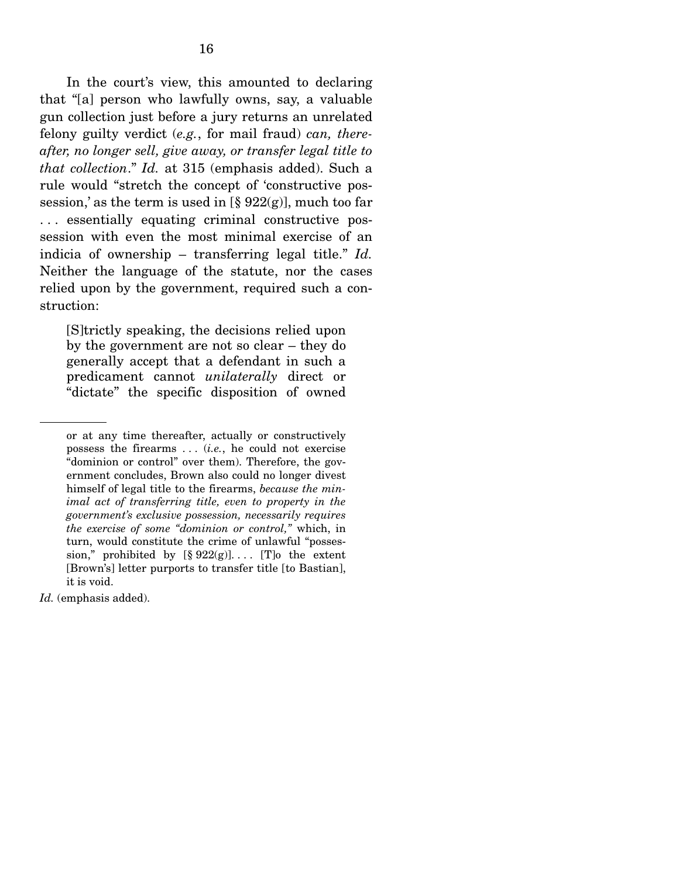In the court's view, this amounted to declaring that "[a] person who lawfully owns, say, a valuable gun collection just before a jury returns an unrelated felony guilty verdict (*e.g.*, for mail fraud) *can, thereafter, no longer sell, give away, or transfer legal title to that collection*." *Id.* at 315 (emphasis added). Such a rule would "stretch the concept of 'constructive possession,' as the term is used in  $\lbrack \S$  922(g)], much too far . . . essentially equating criminal constructive possession with even the most minimal exercise of an indicia of ownership – transferring legal title." *Id.*  Neither the language of the statute, nor the cases relied upon by the government, required such a construction:

[S]trictly speaking, the decisions relied upon by the government are not so clear – they do generally accept that a defendant in such a predicament cannot *unilaterally* direct or "dictate" the specific disposition of owned

*Id.* (emphasis added).

or at any time thereafter, actually or constructively possess the firearms . . . (*i.e.*, he could not exercise "dominion or control" over them). Therefore, the government concludes, Brown also could no longer divest himself of legal title to the firearms, *because the minimal act of transferring title, even to property in the government's exclusive possession, necessarily requires the exercise of some "dominion or control,"* which, in turn, would constitute the crime of unlawful "possession," prohibited by  $[\S 922(g)]$ ... [T] the extent [Brown's] letter purports to transfer title [to Bastian], it is void.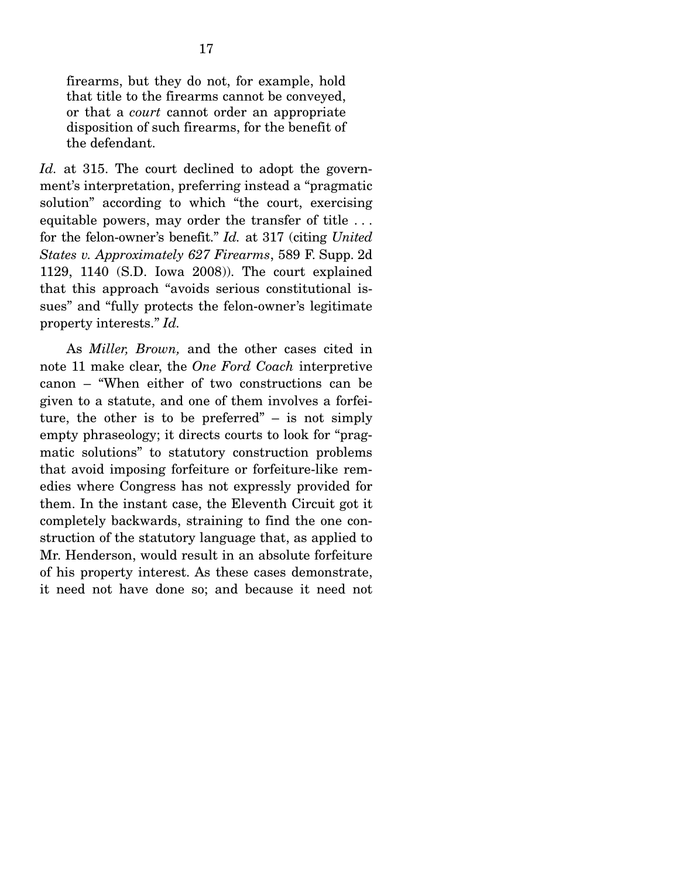firearms, but they do not, for example, hold that title to the firearms cannot be conveyed, or that a *court* cannot order an appropriate disposition of such firearms, for the benefit of the defendant.

*Id.* at 315. The court declined to adopt the government's interpretation, preferring instead a "pragmatic solution" according to which "the court, exercising equitable powers, may order the transfer of title . . . for the felon-owner's benefit." *Id.* at 317 (citing *United States v. Approximately 627 Firearms*, 589 F. Supp. 2d 1129, 1140 (S.D. Iowa 2008)). The court explained that this approach "avoids serious constitutional issues" and "fully protects the felon-owner's legitimate property interests." *Id.*

 As *Miller, Brown,* and the other cases cited in note 11 make clear, the *One Ford Coach* interpretive canon – "When either of two constructions can be given to a statute, and one of them involves a forfeiture, the other is to be preferred"  $-$  is not simply empty phraseology; it directs courts to look for "pragmatic solutions" to statutory construction problems that avoid imposing forfeiture or forfeiture-like remedies where Congress has not expressly provided for them. In the instant case, the Eleventh Circuit got it completely backwards, straining to find the one construction of the statutory language that, as applied to Mr. Henderson, would result in an absolute forfeiture of his property interest. As these cases demonstrate, it need not have done so; and because it need not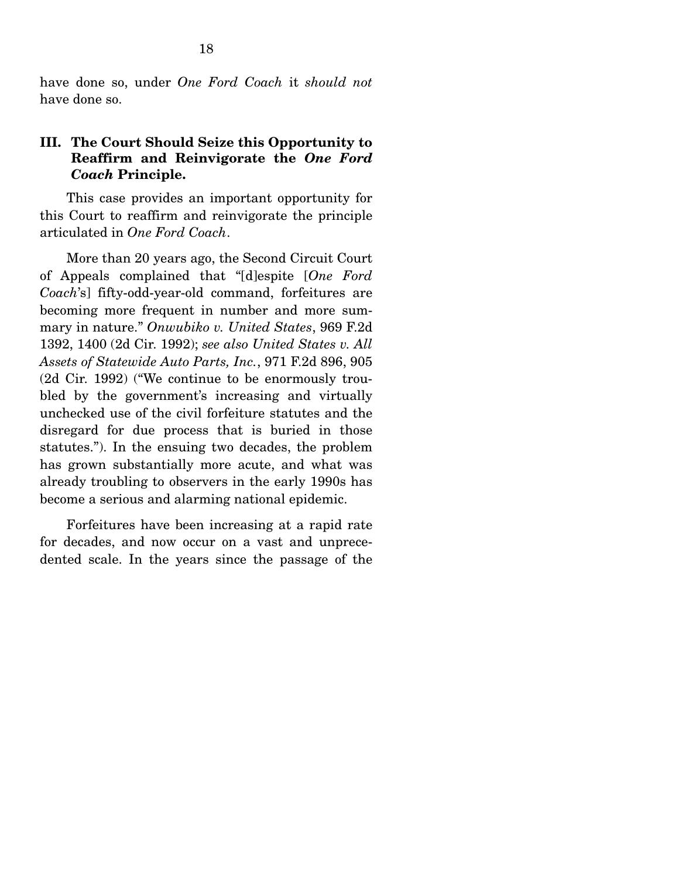have done so, under *One Ford Coach* it *should not* have done so.

#### **III. The Court Should Seize this Opportunity to Reaffirm and Reinvigorate the** *One Ford Coach* **Principle.**

This case provides an important opportunity for this Court to reaffirm and reinvigorate the principle articulated in *One Ford Coach*.

 More than 20 years ago, the Second Circuit Court of Appeals complained that "[d]espite [*One Ford Coach*'s] fifty-odd-year-old command, forfeitures are becoming more frequent in number and more summary in nature." *Onwubiko v. United States*, 969 F.2d 1392, 1400 (2d Cir. 1992); *see also United States v. All Assets of Statewide Auto Parts, Inc.*, 971 F.2d 896, 905 (2d Cir. 1992) ("We continue to be enormously troubled by the government's increasing and virtually unchecked use of the civil forfeiture statutes and the disregard for due process that is buried in those statutes."). In the ensuing two decades, the problem has grown substantially more acute, and what was already troubling to observers in the early 1990s has become a serious and alarming national epidemic.

 Forfeitures have been increasing at a rapid rate for decades, and now occur on a vast and unprecedented scale. In the years since the passage of the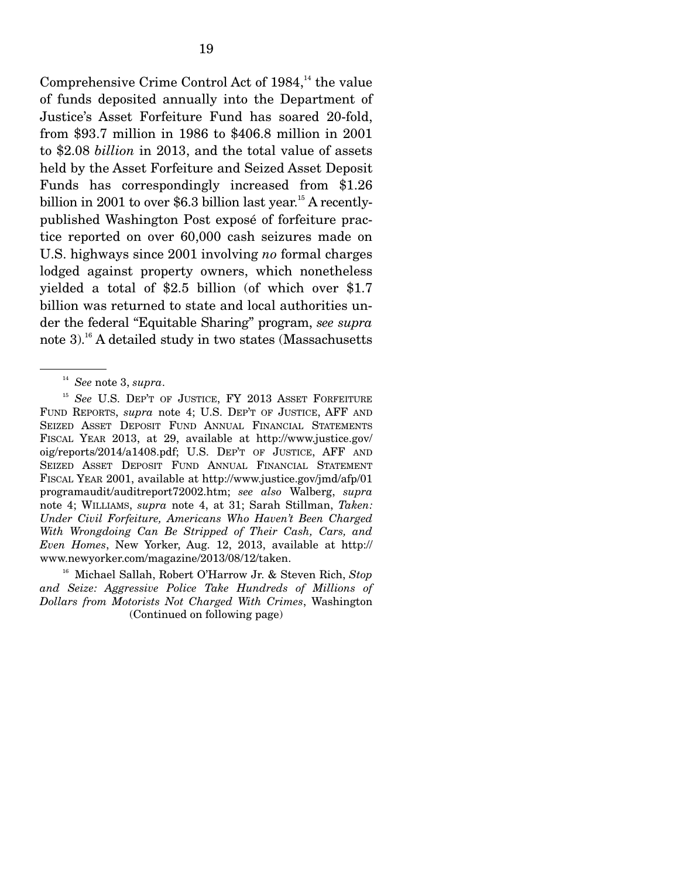Comprehensive Crime Control Act of  $1984$ ,<sup>14</sup> the value of funds deposited annually into the Department of Justice's Asset Forfeiture Fund has soared 20-fold, from \$93.7 million in 1986 to \$406.8 million in 2001 to \$2.08 *billion* in 2013, and the total value of assets held by the Asset Forfeiture and Seized Asset Deposit Funds has correspondingly increased from \$1.26 billion in 2001 to over \$6.3 billion last year.<sup>15</sup> A recentlypublished Washington Post exposé of forfeiture practice reported on over 60,000 cash seizures made on U.S. highways since 2001 involving *no* formal charges lodged against property owners, which nonetheless yielded a total of \$2.5 billion (of which over \$1.7 billion was returned to state and local authorities under the federal "Equitable Sharing" program, *see supra*  note 3).16 A detailed study in two states (Massachusetts

16 Michael Sallah, Robert O'Harrow Jr. & Steven Rich, *Stop and Seize: Aggressive Police Take Hundreds of Millions of Dollars from Motorists Not Charged With Crimes*, Washington (Continued on following page)

<sup>14</sup> *See* note 3, *supra*.

<sup>&</sup>lt;sup>15</sup> See U.S. DEP'T OF JUSTICE, FY 2013 ASSET FORFEITURE FUND REPORTS, *supra* note 4; U.S. DEP'T OF JUSTICE, AFF AND SEIZED ASSET DEPOSIT FUND ANNUAL FINANCIAL STATEMENTS FISCAL YEAR 2013, at 29, available at http://www.justice.gov/ oig/reports/2014/a1408.pdf; U.S. DEP'T OF JUSTICE, AFF AND SEIZED ASSET DEPOSIT FUND ANNUAL FINANCIAL STATEMENT FISCAL YEAR 2001, available at http://www.justice.gov/jmd/afp/01 programaudit/auditreport72002.htm; *see also* Walberg, *supra* note 4; WILLIAMS, *supra* note 4, at 31; Sarah Stillman, *Taken: Under Civil Forfeiture, Americans Who Haven't Been Charged With Wrongdoing Can Be Stripped of Their Cash, Cars, and Even Homes*, New Yorker, Aug. 12, 2013, available at http:// www.newyorker.com/magazine/2013/08/12/taken.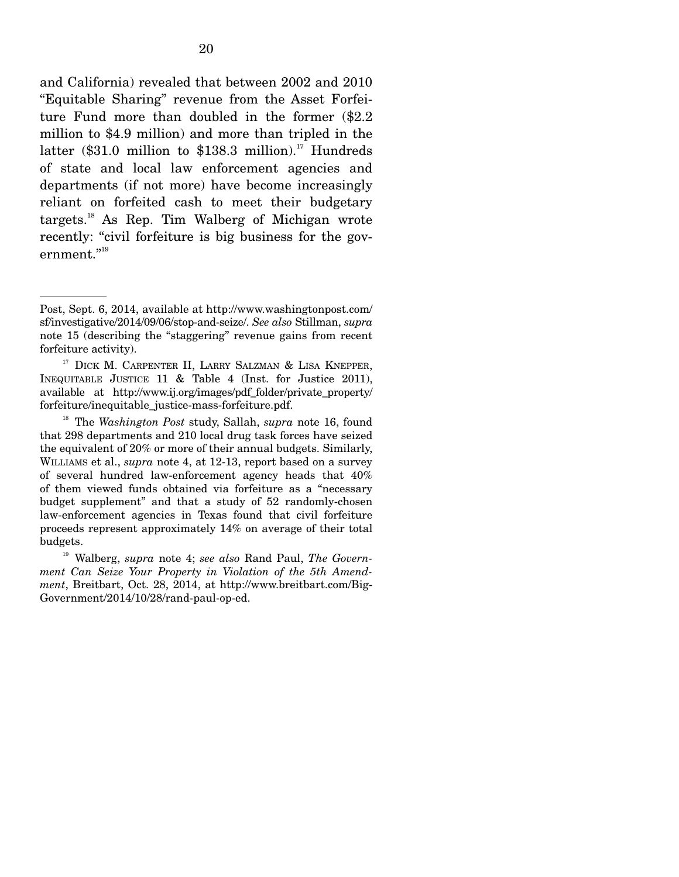and California) revealed that between 2002 and 2010 "Equitable Sharing" revenue from the Asset Forfeiture Fund more than doubled in the former (\$2.2 million to \$4.9 million) and more than tripled in the latter (\$31.0 million to \$138.3 million).<sup>17</sup> Hundreds of state and local law enforcement agencies and departments (if not more) have become increasingly reliant on forfeited cash to meet their budgetary targets.18 As Rep. Tim Walberg of Michigan wrote recently: "civil forfeiture is big business for the gov- $\rm{ermment.}^{''^{19}}$ 

Post, Sept. 6, 2014, available at http://www.washingtonpost.com/ sf/investigative/2014/09/06/stop-and-seize/. *See also* Stillman, *supra* note 15 (describing the "staggering" revenue gains from recent forfeiture activity).

<sup>&</sup>lt;sup>17</sup> DICK M. CARPENTER II, LARRY SALZMAN & LISA KNEPPER, INEQUITABLE JUSTICE 11 & Table 4 (Inst. for Justice 2011), available at http://www.ij.org/images/pdf\_folder/private\_property/ forfeiture/inequitable\_justice-mass-forfeiture.pdf.

<sup>18</sup> The *Washington Post* study, Sallah, *supra* note 16, found that 298 departments and 210 local drug task forces have seized the equivalent of 20% or more of their annual budgets. Similarly, WILLIAMS et al., *supra* note 4, at 12-13, report based on a survey of several hundred law-enforcement agency heads that 40% of them viewed funds obtained via forfeiture as a "necessary budget supplement" and that a study of 52 randomly-chosen law-enforcement agencies in Texas found that civil forfeiture proceeds represent approximately 14% on average of their total budgets.

<sup>19</sup> Walberg, *supra* note 4; *see also* Rand Paul, *The Government Can Seize Your Property in Violation of the 5th Amendment*, Breitbart, Oct. 28, 2014, at http://www.breitbart.com/Big-Government/2014/10/28/rand-paul-op-ed.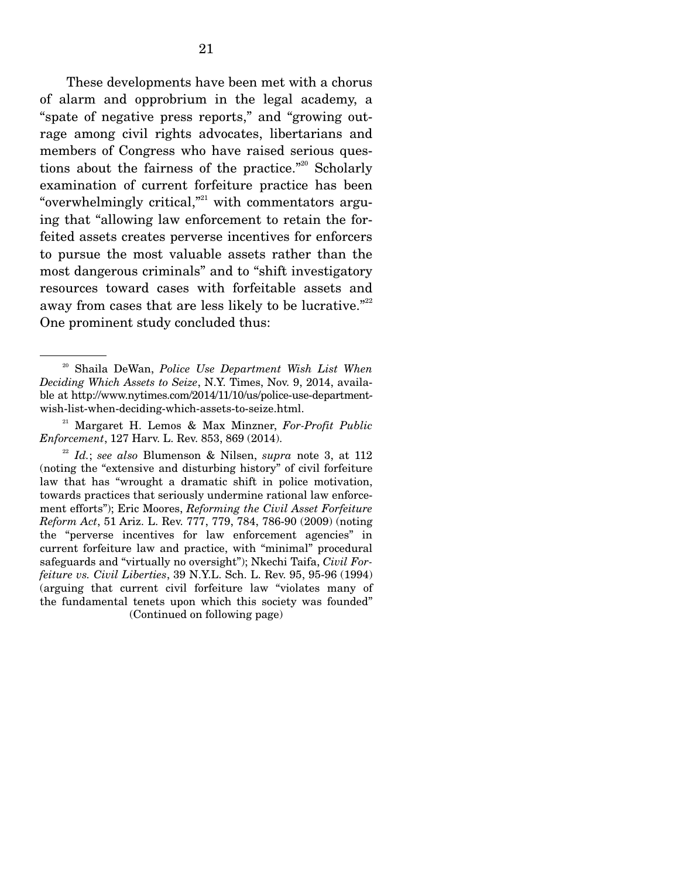These developments have been met with a chorus of alarm and opprobrium in the legal academy, a "spate of negative press reports," and "growing outrage among civil rights advocates, libertarians and members of Congress who have raised serious questions about the fairness of the practice."<sup>20</sup> Scholarly examination of current forfeiture practice has been "overwhelmingly critical, $n^2$ " with commentators arguing that "allowing law enforcement to retain the forfeited assets creates perverse incentives for enforcers to pursue the most valuable assets rather than the most dangerous criminals" and to "shift investigatory resources toward cases with forfeitable assets and away from cases that are less likely to be lucrative."<sup>22</sup> One prominent study concluded thus:

<sup>20</sup> Shaila DeWan, *Police Use Department Wish List When Deciding Which Assets to Seize*, N.Y. Times, Nov. 9, 2014, available at http://www.nytimes.com/2014/11/10/us/police-use-departmentwish-list-when-deciding-which-assets-to-seize.html.

<sup>21</sup> Margaret H. Lemos & Max Minzner, *For-Profit Public Enforcement*, 127 Harv. L. Rev. 853, 869 (2014).

<sup>22</sup> *Id.*; *see also* Blumenson & Nilsen, *supra* note 3, at 112 (noting the "extensive and disturbing history" of civil forfeiture law that has "wrought a dramatic shift in police motivation, towards practices that seriously undermine rational law enforcement efforts"); Eric Moores, *Reforming the Civil Asset Forfeiture Reform Act*, 51 Ariz. L. Rev. 777, 779, 784, 786-90 (2009) (noting the "perverse incentives for law enforcement agencies" in current forfeiture law and practice, with "minimal" procedural safeguards and "virtually no oversight"); Nkechi Taifa, *Civil Forfeiture vs. Civil Liberties*, 39 N.Y.L. Sch. L. Rev. 95, 95-96 (1994) (arguing that current civil forfeiture law "violates many of the fundamental tenets upon which this society was founded" (Continued on following page)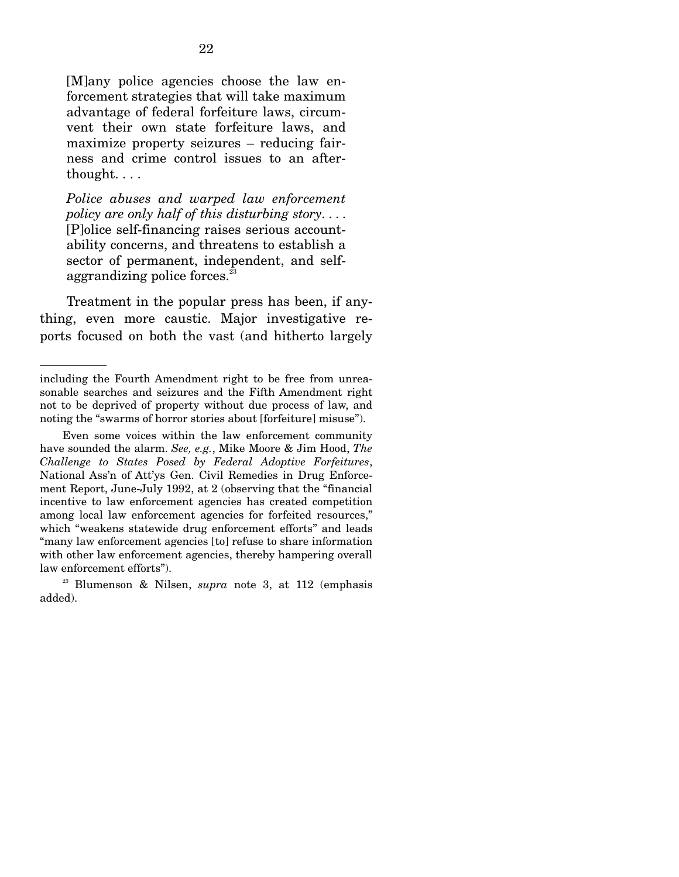[M]any police agencies choose the law enforcement strategies that will take maximum advantage of federal forfeiture laws, circumvent their own state forfeiture laws, and maximize property seizures – reducing fairness and crime control issues to an afterthought. . . .

*Police abuses and warped law enforcement policy are only half of this disturbing story*. . . . [P]olice self-financing raises serious accountability concerns, and threatens to establish a sector of permanent, independent, and selfaggrandizing police forces.<sup>23</sup>

 Treatment in the popular press has been, if anything, even more caustic. Major investigative reports focused on both the vast (and hitherto largely

including the Fourth Amendment right to be free from unreasonable searches and seizures and the Fifth Amendment right not to be deprived of property without due process of law, and noting the "swarms of horror stories about [forfeiture] misuse").

Even some voices within the law enforcement community have sounded the alarm. *See, e.g.*, Mike Moore & Jim Hood, *The Challenge to States Posed by Federal Adoptive Forfeitures*, National Ass'n of Att'ys Gen. Civil Remedies in Drug Enforcement Report, June-July 1992, at 2 (observing that the "financial incentive to law enforcement agencies has created competition among local law enforcement agencies for forfeited resources," which "weakens statewide drug enforcement efforts" and leads "many law enforcement agencies [to] refuse to share information with other law enforcement agencies, thereby hampering overall law enforcement efforts").

<sup>23</sup> Blumenson & Nilsen, *supra* note 3, at 112 (emphasis added).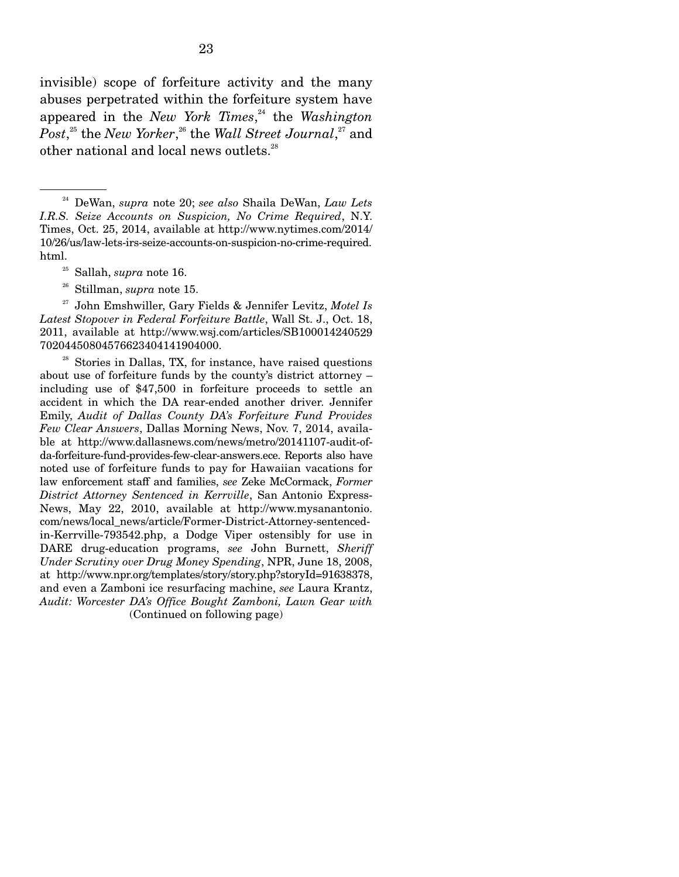invisible) scope of forfeiture activity and the many abuses perpetrated within the forfeiture system have appeared in the *New York Times*, 24 the *Washington Post*, 25 the *New Yorker*, 26 the *Wall Street Journal*, 27 and other national and local news outlets.<sup>28</sup>

- 25 Sallah, *supra* note 16.
- 26 Stillman, *supra* note 15.

27 John Emshwiller, Gary Fields & Jennifer Levitz, *Motel Is Latest Stopover in Federal Forfeiture Battle*, Wall St. J., Oct. 18, 2011, available at http://www.wsj.com/articles/SB100014240529 70204450804576623404141904000.

 $28$  Stories in Dallas, TX, for instance, have raised questions about use of forfeiture funds by the county's district attorney – including use of \$47,500 in forfeiture proceeds to settle an accident in which the DA rear-ended another driver. Jennifer Emily, *Audit of Dallas County DA's Forfeiture Fund Provides Few Clear Answers*, Dallas Morning News, Nov. 7, 2014, available at http://www.dallasnews.com/news/metro/20141107-audit-ofda-forfeiture-fund-provides-few-clear-answers.ece. Reports also have noted use of forfeiture funds to pay for Hawaiian vacations for law enforcement staff and families, *see* Zeke McCormack, *Former District Attorney Sentenced in Kerrville*, San Antonio Express-News, May 22, 2010, available at http://www.mysanantonio. com/news/local\_news/article/Former-District-Attorney-sentencedin-Kerrville-793542.php, a Dodge Viper ostensibly for use in DARE drug-education programs, *see* John Burnett, *Sheriff Under Scrutiny over Drug Money Spending*, NPR, June 18, 2008, at http://www.npr.org/templates/story/story.php?storyId=91638378, and even a Zamboni ice resurfacing machine, *see* Laura Krantz, *Audit: Worcester DA's Office Bought Zamboni, Lawn Gear with*  (Continued on following page)

<sup>24</sup> DeWan, *supra* note 20; *see also* Shaila DeWan, *Law Lets I.R.S. Seize Accounts on Suspicion, No Crime Required*, N.Y. Times, Oct. 25, 2014, available at http://www.nytimes.com/2014/ 10/26/us/law-lets-irs-seize-accounts-on-suspicion-no-crime-required. html.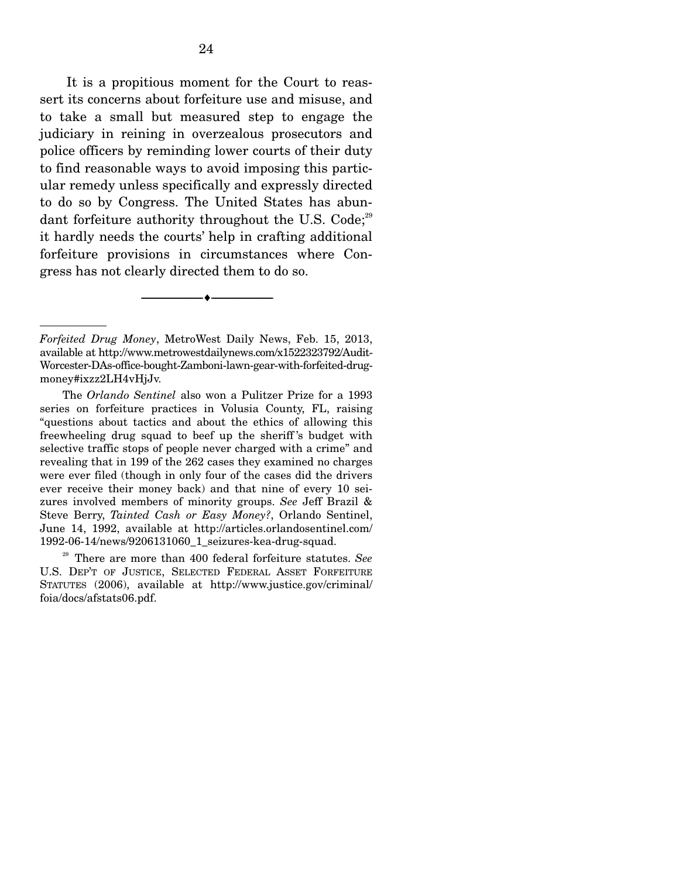It is a propitious moment for the Court to reassert its concerns about forfeiture use and misuse, and to take a small but measured step to engage the judiciary in reining in overzealous prosecutors and police officers by reminding lower courts of their duty to find reasonable ways to avoid imposing this particular remedy unless specifically and expressly directed to do so by Congress. The United States has abundant forfeiture authority throughout the U.S. Code:<sup>29</sup> it hardly needs the courts' help in crafting additional forfeiture provisions in circumstances where Congress has not clearly directed them to do so.

--------------------------------- ---------------------------------

 The *Orlando Sentinel* also won a Pulitzer Prize for a 1993 series on forfeiture practices in Volusia County, FL, raising "questions about tactics and about the ethics of allowing this freewheeling drug squad to beef up the sheriff 's budget with selective traffic stops of people never charged with a crime" and revealing that in 199 of the 262 cases they examined no charges were ever filed (though in only four of the cases did the drivers ever receive their money back) and that nine of every 10 seizures involved members of minority groups. *See* Jeff Brazil & Steve Berry, *Tainted Cash or Easy Money?*, Orlando Sentinel, June 14, 1992, available at http://articles.orlandosentinel.com/ 1992-06-14/news/9206131060\_1\_seizures-kea-drug-squad.

29 There are more than 400 federal forfeiture statutes. *See* U.S. DEP'T OF JUSTICE, SELECTED FEDERAL ASSET FORFEITURE STATUTES (2006), available at http://www.justice.gov/criminal/ foia/docs/afstats06.pdf.

*Forfeited Drug Money*, MetroWest Daily News, Feb. 15, 2013, available at http://www.metrowestdailynews.com/x1522323792/Audit-Worcester-DAs-office-bought-Zamboni-lawn-gear-with-forfeited-drugmoney#ixzz2LH4vHjJv.